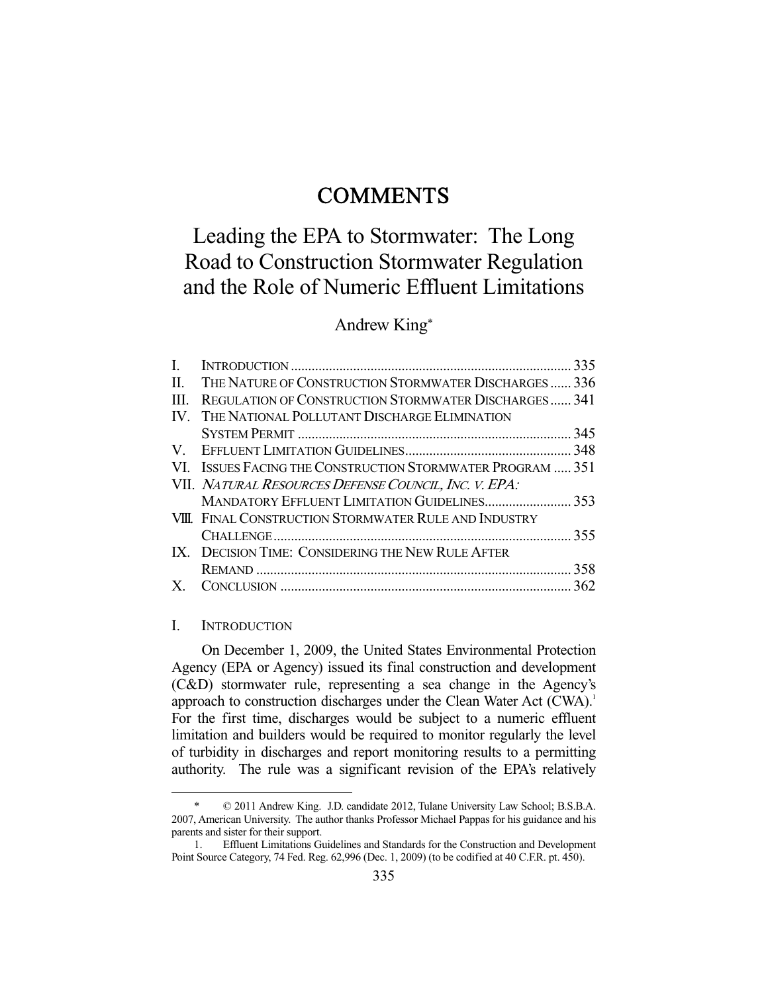## **COMMENTS**

# Leading the EPA to Stormwater: The Long Road to Construction Stormwater Regulation and the Role of Numeric Effluent Limitations

## Andrew King\*

| L    |                                                            |  |
|------|------------------------------------------------------------|--|
| П.   | THE NATURE OF CONSTRUCTION STORMWATER DISCHARGES 336       |  |
| III. | REGULATION OF CONSTRUCTION STORMWATER DISCHARGES 341       |  |
| IV.  | THE NATIONAL POLLUTANT DISCHARGE ELIMINATION               |  |
|      |                                                            |  |
|      |                                                            |  |
|      | VI. ISSUES FACING THE CONSTRUCTION STORMWATER PROGRAM  351 |  |
|      | VII. NATURAL RESOURCES DEFENSE COUNCIL, INC. V. EPA:       |  |
|      | MANDATORY EFFLUENT LIMITATION GUIDELINES 353               |  |
|      | VIII. FINAL CONSTRUCTION STORMWATER RULE AND INDUSTRY      |  |
|      |                                                            |  |
|      | IX. DECISION TIME: CONSIDERING THE NEW RULE AFTER          |  |
|      |                                                            |  |
|      |                                                            |  |
|      |                                                            |  |

#### I. INTRODUCTION

-

 On December 1, 2009, the United States Environmental Protection Agency (EPA or Agency) issued its final construction and development (C&D) stormwater rule, representing a sea change in the Agency's approach to construction discharges under the Clean Water Act (CWA).<sup>1</sup> For the first time, discharges would be subject to a numeric effluent limitation and builders would be required to monitor regularly the level of turbidity in discharges and report monitoring results to a permitting authority. The rule was a significant revision of the EPA's relatively

 <sup>\* © 2011</sup> Andrew King. J.D. candidate 2012, Tulane University Law School; B.S.B.A. 2007, American University. The author thanks Professor Michael Pappas for his guidance and his parents and sister for their support.

 <sup>1.</sup> Effluent Limitations Guidelines and Standards for the Construction and Development Point Source Category, 74 Fed. Reg. 62,996 (Dec. 1, 2009) (to be codified at 40 C.F.R. pt. 450).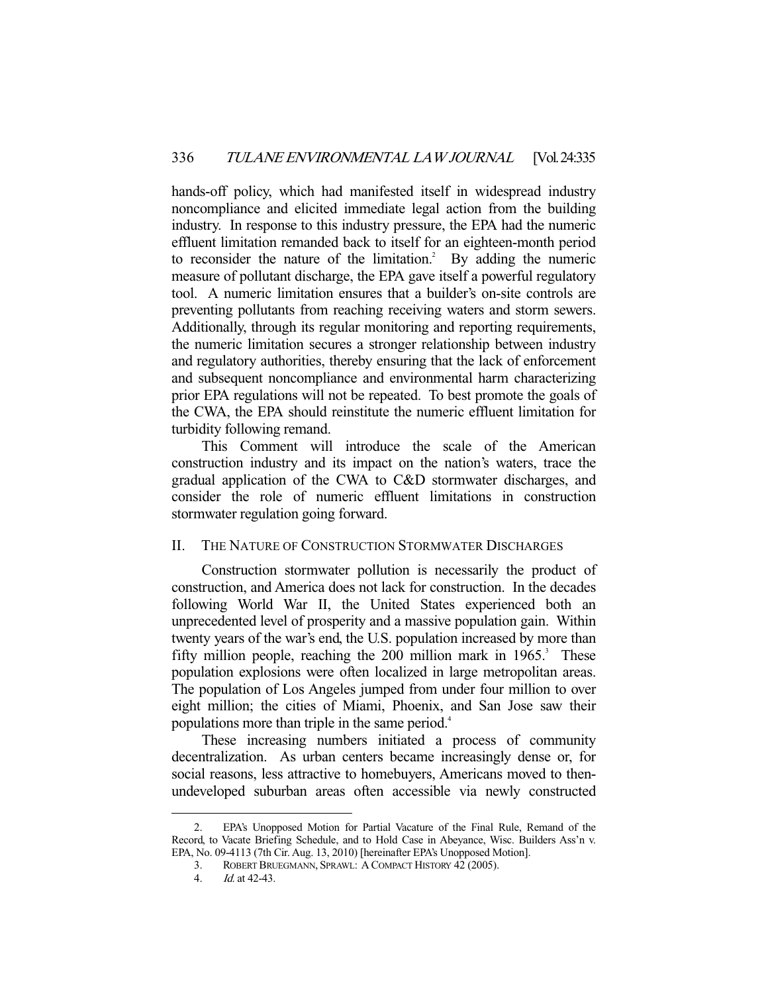hands-off policy, which had manifested itself in widespread industry noncompliance and elicited immediate legal action from the building industry. In response to this industry pressure, the EPA had the numeric effluent limitation remanded back to itself for an eighteen-month period to reconsider the nature of the limitation.<sup>2</sup> By adding the numeric measure of pollutant discharge, the EPA gave itself a powerful regulatory tool. A numeric limitation ensures that a builder's on-site controls are preventing pollutants from reaching receiving waters and storm sewers. Additionally, through its regular monitoring and reporting requirements, the numeric limitation secures a stronger relationship between industry and regulatory authorities, thereby ensuring that the lack of enforcement and subsequent noncompliance and environmental harm characterizing prior EPA regulations will not be repeated. To best promote the goals of the CWA, the EPA should reinstitute the numeric effluent limitation for turbidity following remand.

 This Comment will introduce the scale of the American construction industry and its impact on the nation's waters, trace the gradual application of the CWA to C&D stormwater discharges, and consider the role of numeric effluent limitations in construction stormwater regulation going forward.

## II. THE NATURE OF CONSTRUCTION STORMWATER DISCHARGES

 Construction stormwater pollution is necessarily the product of construction, and America does not lack for construction. In the decades following World War II, the United States experienced both an unprecedented level of prosperity and a massive population gain. Within twenty years of the war's end, the U.S. population increased by more than fifty million people, reaching the  $200$  million mark in  $1965$ .<sup>3</sup> These population explosions were often localized in large metropolitan areas. The population of Los Angeles jumped from under four million to over eight million; the cities of Miami, Phoenix, and San Jose saw their populations more than triple in the same period.<sup>4</sup>

 These increasing numbers initiated a process of community decentralization. As urban centers became increasingly dense or, for social reasons, less attractive to homebuyers, Americans moved to thenundeveloped suburban areas often accessible via newly constructed

 <sup>2.</sup> EPA's Unopposed Motion for Partial Vacature of the Final Rule, Remand of the Record, to Vacate Briefing Schedule, and to Hold Case in Abeyance, Wisc. Builders Ass'n v. EPA, No. 09-4113 (7th Cir. Aug. 13, 2010) [hereinafter EPA's Unopposed Motion].

 <sup>3.</sup> ROBERT BRUEGMANN, SPRAWL: A COMPACT HISTORY 42 (2005).

 <sup>4.</sup> Id. at 42-43.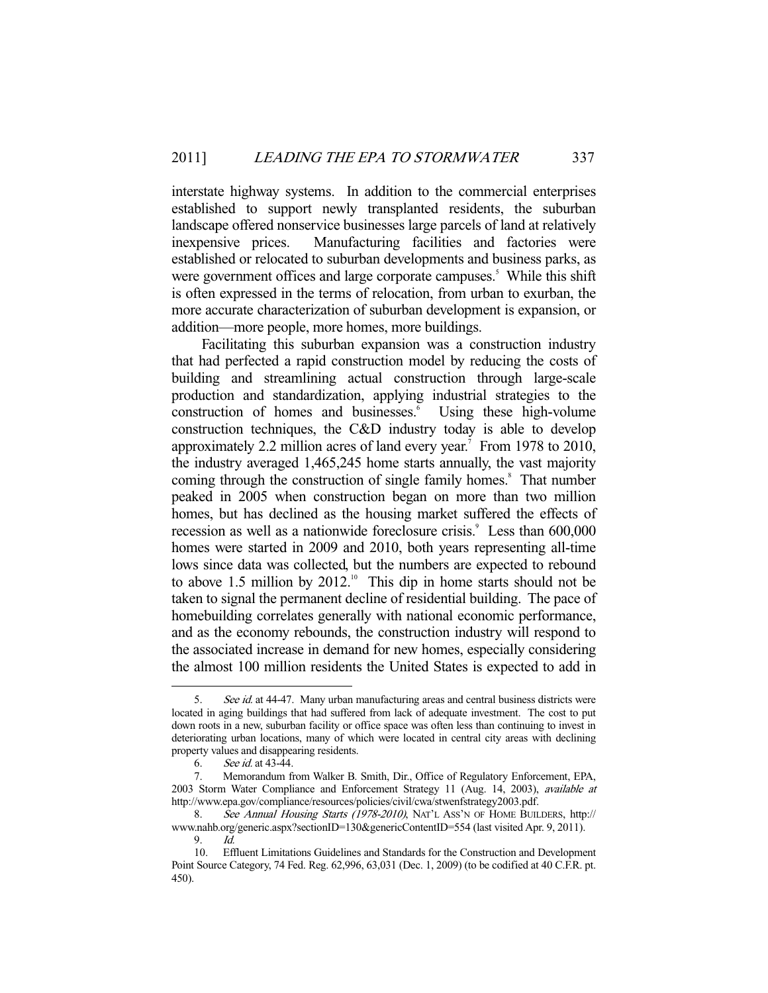interstate highway systems. In addition to the commercial enterprises established to support newly transplanted residents, the suburban landscape offered nonservice businesses large parcels of land at relatively inexpensive prices. Manufacturing facilities and factories were established or relocated to suburban developments and business parks, as were government offices and large corporate campuses.<sup>5</sup> While this shift is often expressed in the terms of relocation, from urban to exurban, the more accurate characterization of suburban development is expansion, or addition—more people, more homes, more buildings.

 Facilitating this suburban expansion was a construction industry that had perfected a rapid construction model by reducing the costs of building and streamlining actual construction through large-scale production and standardization, applying industrial strategies to the construction of homes and businesses.<sup>6</sup> Using these high-volume construction techniques, the C&D industry today is able to develop approximately 2.2 million acres of land every year.<sup>7</sup> From 1978 to 2010, the industry averaged 1,465,245 home starts annually, the vast majority coming through the construction of single family homes.<sup>8</sup> That number peaked in 2005 when construction began on more than two million homes, but has declined as the housing market suffered the effects of recession as well as a nationwide foreclosure crisis.<sup>9</sup> Less than 600,000 homes were started in 2009 and 2010, both years representing all-time lows since data was collected, but the numbers are expected to rebound to above 1.5 million by  $2012.^{10}$  This dip in home starts should not be taken to signal the permanent decline of residential building. The pace of homebuilding correlates generally with national economic performance, and as the economy rebounds, the construction industry will respond to the associated increase in demand for new homes, especially considering the almost 100 million residents the United States is expected to add in

<sup>5.</sup> See id. at 44-47. Many urban manufacturing areas and central business districts were located in aging buildings that had suffered from lack of adequate investment. The cost to put down roots in a new, suburban facility or office space was often less than continuing to invest in deteriorating urban locations, many of which were located in central city areas with declining property values and disappearing residents.

 <sup>6.</sup> See id. at 43-44.

 <sup>7.</sup> Memorandum from Walker B. Smith, Dir., Office of Regulatory Enforcement, EPA, 2003 Storm Water Compliance and Enforcement Strategy 11 (Aug. 14, 2003), available at http://www.epa.gov/compliance/resources/policies/civil/cwa/stwenfstrategy2003.pdf.

<sup>8.</sup> See Annual Housing Starts (1978-2010), NAT'L ASS'N OF HOME BUILDERS, http:// www.nahb.org/generic.aspx?sectionID=130&genericContentID=554 (last visited Apr. 9, 2011). 9. Id.

 <sup>10.</sup> Effluent Limitations Guidelines and Standards for the Construction and Development Point Source Category, 74 Fed. Reg. 62,996, 63,031 (Dec. 1, 2009) (to be codified at 40 C.F.R. pt. 450).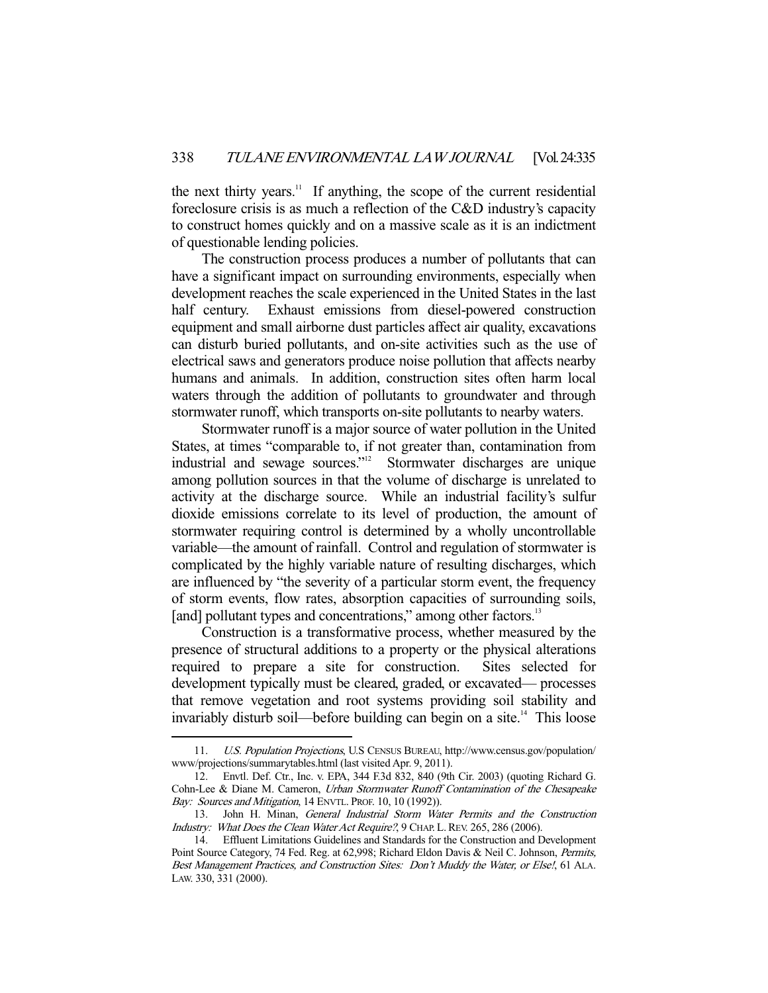the next thirty years.<sup>11</sup> If anything, the scope of the current residential foreclosure crisis is as much a reflection of the C&D industry's capacity to construct homes quickly and on a massive scale as it is an indictment of questionable lending policies.

 The construction process produces a number of pollutants that can have a significant impact on surrounding environments, especially when development reaches the scale experienced in the United States in the last half century. Exhaust emissions from diesel-powered construction equipment and small airborne dust particles affect air quality, excavations can disturb buried pollutants, and on-site activities such as the use of electrical saws and generators produce noise pollution that affects nearby humans and animals. In addition, construction sites often harm local waters through the addition of pollutants to groundwater and through stormwater runoff, which transports on-site pollutants to nearby waters.

 Stormwater runoff is a major source of water pollution in the United States, at times "comparable to, if not greater than, contamination from industrial and sewage sources."12 Stormwater discharges are unique among pollution sources in that the volume of discharge is unrelated to activity at the discharge source. While an industrial facility's sulfur dioxide emissions correlate to its level of production, the amount of stormwater requiring control is determined by a wholly uncontrollable variable—the amount of rainfall. Control and regulation of stormwater is complicated by the highly variable nature of resulting discharges, which are influenced by "the severity of a particular storm event, the frequency of storm events, flow rates, absorption capacities of surrounding soils, [and] pollutant types and concentrations," among other factors.<sup>13</sup>

 Construction is a transformative process, whether measured by the presence of structural additions to a property or the physical alterations required to prepare a site for construction. Sites selected for development typically must be cleared, graded, or excavated— processes that remove vegetation and root systems providing soil stability and invariably disturb soil—before building can begin on a site.<sup>14</sup> This loose

 <sup>11.</sup> U.S. Population Projections, U.S CENSUS BUREAU, http://www.census.gov/population/ www/projections/summarytables.html (last visited Apr. 9, 2011).

 <sup>12.</sup> Envtl. Def. Ctr., Inc. v. EPA, 344 F.3d 832, 840 (9th Cir. 2003) (quoting Richard G. Cohn-Lee & Diane M. Cameron, Urban Stormwater Runoff Contamination of the Chesapeake Bay: Sources and Mitigation, 14 ENVTL. PROF. 10, 10 (1992)).

 <sup>13.</sup> John H. Minan, General Industrial Storm Water Permits and the Construction Industry: What Does the Clean Water Act Require?, 9 CHAP. L. REV. 265, 286 (2006).

 <sup>14.</sup> Effluent Limitations Guidelines and Standards for the Construction and Development Point Source Category, 74 Fed. Reg. at 62,998; Richard Eldon Davis & Neil C. Johnson, Permits, Best Management Practices, and Construction Sites: Don't Muddy the Water, or Else!, 61 ALA. LAW. 330, 331 (2000).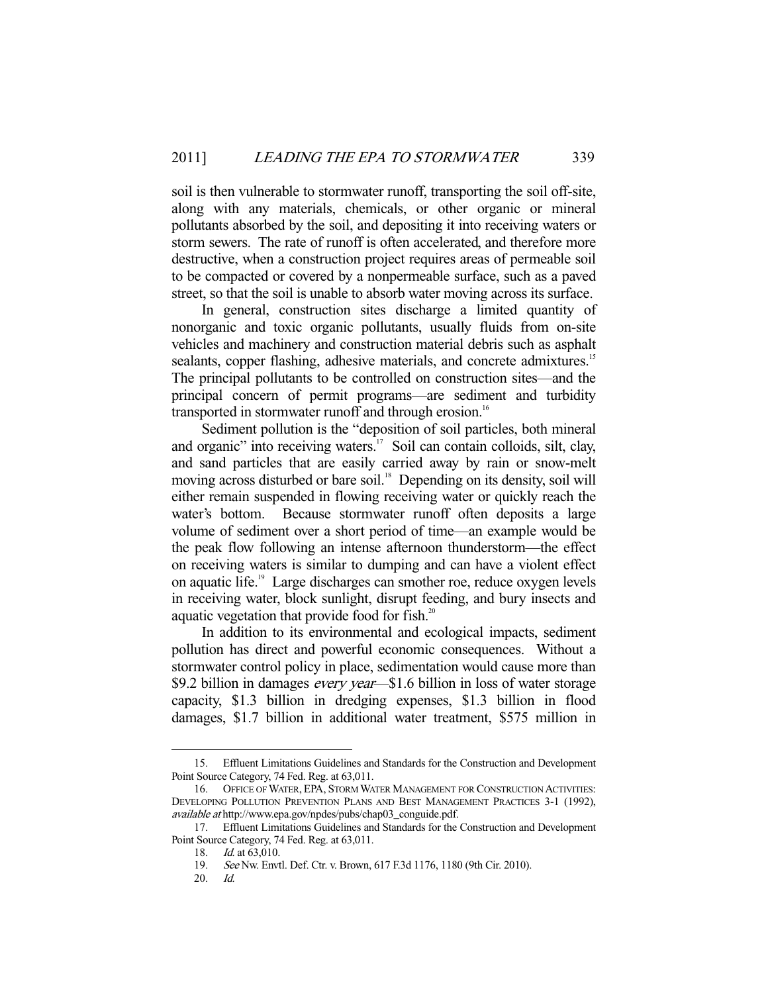soil is then vulnerable to stormwater runoff, transporting the soil off-site, along with any materials, chemicals, or other organic or mineral pollutants absorbed by the soil, and depositing it into receiving waters or storm sewers. The rate of runoff is often accelerated, and therefore more destructive, when a construction project requires areas of permeable soil to be compacted or covered by a nonpermeable surface, such as a paved street, so that the soil is unable to absorb water moving across its surface.

 In general, construction sites discharge a limited quantity of nonorganic and toxic organic pollutants, usually fluids from on-site vehicles and machinery and construction material debris such as asphalt sealants, copper flashing, adhesive materials, and concrete admixtures.<sup>15</sup> The principal pollutants to be controlled on construction sites—and the principal concern of permit programs—are sediment and turbidity transported in stormwater runoff and through erosion.<sup>16</sup>

 Sediment pollution is the "deposition of soil particles, both mineral and organic" into receiving waters. $17$  Soil can contain colloids, silt, clay, and sand particles that are easily carried away by rain or snow-melt moving across disturbed or bare soil.<sup>18</sup> Depending on its density, soil will either remain suspended in flowing receiving water or quickly reach the water's bottom. Because stormwater runoff often deposits a large volume of sediment over a short period of time—an example would be the peak flow following an intense afternoon thunderstorm—the effect on receiving waters is similar to dumping and can have a violent effect on aquatic life.19 Large discharges can smother roe, reduce oxygen levels in receiving water, block sunlight, disrupt feeding, and bury insects and aquatic vegetation that provide food for fish.<sup>20</sup>

 In addition to its environmental and ecological impacts, sediment pollution has direct and powerful economic consequences. Without a stormwater control policy in place, sedimentation would cause more than \$9.2 billion in damages *every year*—\$1.6 billion in loss of water storage capacity, \$1.3 billion in dredging expenses, \$1.3 billion in flood damages, \$1.7 billion in additional water treatment, \$575 million in

 <sup>15.</sup> Effluent Limitations Guidelines and Standards for the Construction and Development Point Source Category, 74 Fed. Reg. at 63,011.

 <sup>16.</sup> OFFICE OF WATER, EPA, STORM WATER MANAGEMENT FOR CONSTRUCTION ACTIVITIES: DEVELOPING POLLUTION PREVENTION PLANS AND BEST MANAGEMENT PRACTICES 3-1 (1992), available at http://www.epa.gov/npdes/pubs/chap03\_conguide.pdf.

 <sup>17.</sup> Effluent Limitations Guidelines and Standards for the Construction and Development Point Source Category, 74 Fed. Reg. at 63,011.

<sup>18.</sup> *Id.* at 63,010.

 <sup>19.</sup> See Nw. Envtl. Def. Ctr. v. Brown, 617 F.3d 1176, 1180 (9th Cir. 2010).

 <sup>20.</sup> Id.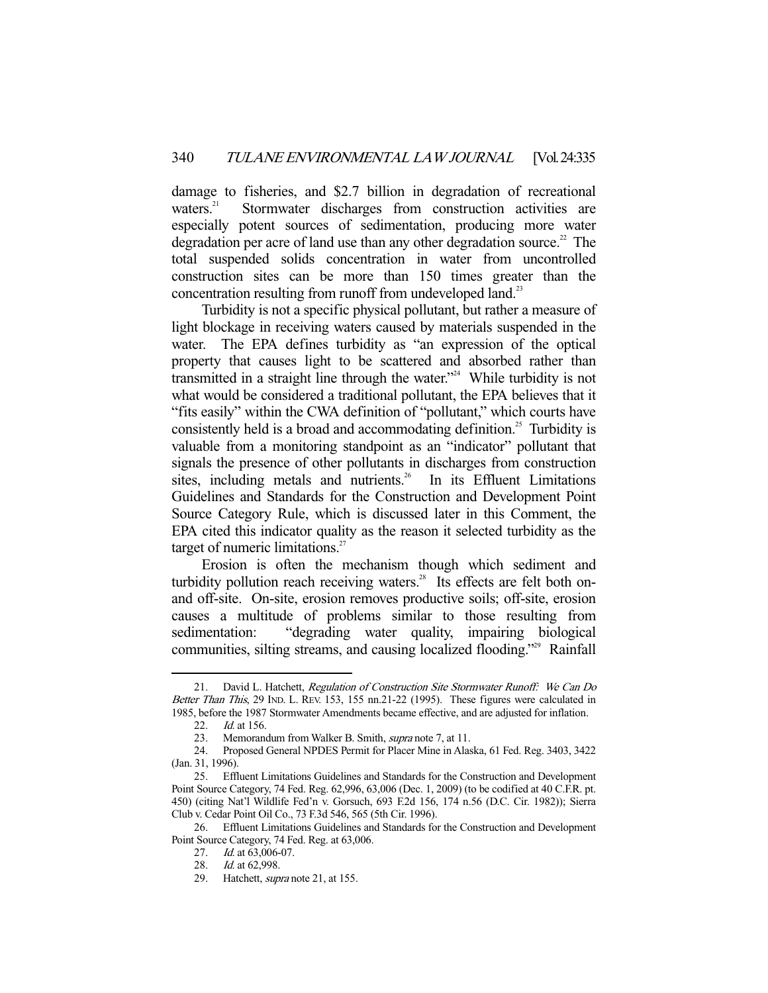damage to fisheries, and \$2.7 billion in degradation of recreational waters.<sup>21</sup> Stormwater discharges from construction activities are especially potent sources of sedimentation, producing more water degradation per acre of land use than any other degradation source.<sup>22</sup> The total suspended solids concentration in water from uncontrolled construction sites can be more than 150 times greater than the concentration resulting from runoff from undeveloped land.<sup>23</sup>

 Turbidity is not a specific physical pollutant, but rather a measure of light blockage in receiving waters caused by materials suspended in the water. The EPA defines turbidity as "an expression of the optical property that causes light to be scattered and absorbed rather than transmitted in a straight line through the water."24 While turbidity is not what would be considered a traditional pollutant, the EPA believes that it "fits easily" within the CWA definition of "pollutant," which courts have consistently held is a broad and accommodating definition.<sup>25</sup> Turbidity is valuable from a monitoring standpoint as an "indicator" pollutant that signals the presence of other pollutants in discharges from construction sites, including metals and nutrients.<sup>26</sup> In its Effluent Limitations Guidelines and Standards for the Construction and Development Point Source Category Rule, which is discussed later in this Comment, the EPA cited this indicator quality as the reason it selected turbidity as the target of numeric limitations.<sup>27</sup>

 Erosion is often the mechanism though which sediment and turbidity pollution reach receiving waters.<sup>28</sup> Its effects are felt both onand off-site. On-site, erosion removes productive soils; off-site, erosion causes a multitude of problems similar to those resulting from sedimentation: "degrading water quality, impairing biological communities, silting streams, and causing localized flooding."29 Rainfall

<sup>21.</sup> David L. Hatchett, Regulation of Construction Site Stormwater Runoff: We Can Do Better Than This, 29 IND. L. REV. 153, 155 nn.21-22 (1995). These figures were calculated in 1985, before the 1987 Stormwater Amendments became effective, and are adjusted for inflation.

<sup>22.</sup> *Id.* at 156.

 <sup>23.</sup> Memorandum from Walker B. Smith, supra note 7, at 11.

 <sup>24.</sup> Proposed General NPDES Permit for Placer Mine in Alaska, 61 Fed. Reg. 3403, 3422 (Jan. 31, 1996).

 <sup>25.</sup> Effluent Limitations Guidelines and Standards for the Construction and Development Point Source Category, 74 Fed. Reg. 62,996, 63,006 (Dec. 1, 2009) (to be codified at 40 C.F.R. pt. 450) (citing Nat'l Wildlife Fed'n v. Gorsuch, 693 F.2d 156, 174 n.56 (D.C. Cir. 1982)); Sierra Club v. Cedar Point Oil Co., 73 F.3d 546, 565 (5th Cir. 1996).

 <sup>26.</sup> Effluent Limitations Guidelines and Standards for the Construction and Development Point Source Category, 74 Fed. Reg. at 63,006.

<sup>27.</sup> *Id.* at 63,006-07.

 <sup>28.</sup> Id. at 62,998.

<sup>29.</sup> Hatchett, *supra* note 21, at 155.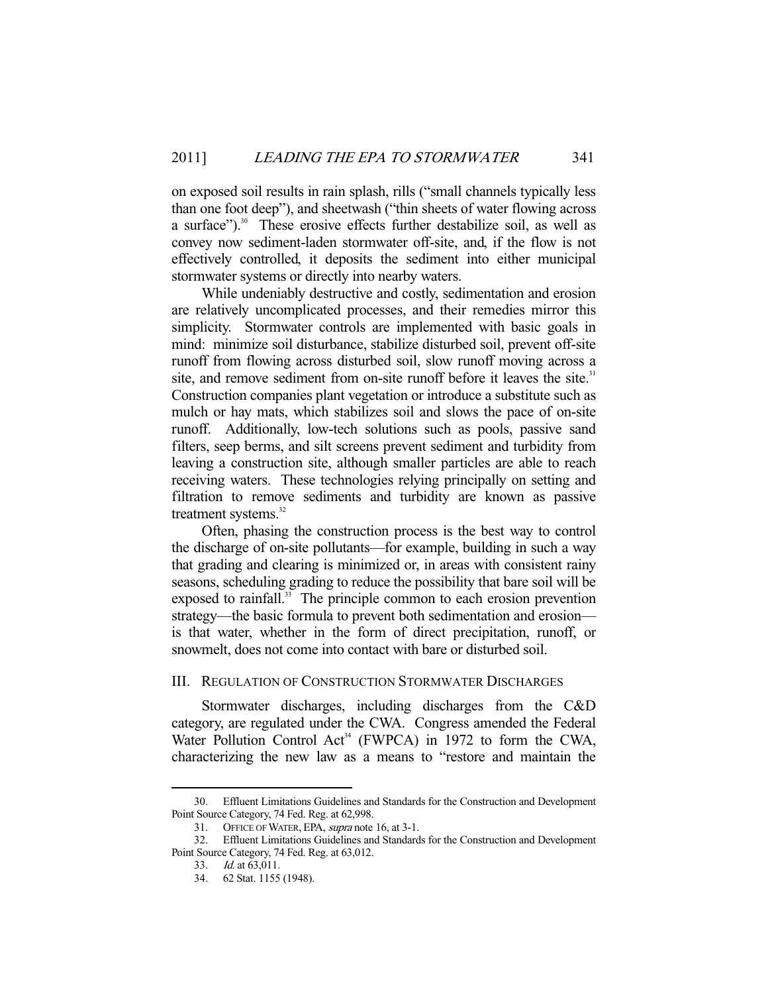on exposed soil results in rain splash, rills ("small channels typically less than one foot deep"), and sheetwash ("thin sheets of water flowing across a surface").<sup>30</sup> These erosive effects further destabilize soil, as well as convey now sediment-laden stormwater off-site, and, if the flow is not effectively controlled, it deposits the sediment into either municipal stormwater systems or directly into nearby waters.

 While undeniably destructive and costly, sedimentation and erosion are relatively uncomplicated processes, and their remedies mirror this simplicity. Stormwater controls are implemented with basic goals in mind: minimize soil disturbance, stabilize disturbed soil, prevent off-site runoff from flowing across disturbed soil, slow runoff moving across a site, and remove sediment from on-site runoff before it leaves the site.<sup>31</sup> Construction companies plant vegetation or introduce a substitute such as mulch or hay mats, which stabilizes soil and slows the pace of on-site runoff. Additionally, low-tech solutions such as pools, passive sand filters, seep berms, and silt screens prevent sediment and turbidity from leaving a construction site, although smaller particles are able to reach receiving waters. These technologies relying principally on setting and filtration to remove sediments and turbidity are known as passive treatment systems.<sup>32</sup>

 Often, phasing the construction process is the best way to control the discharge of on-site pollutants—for example, building in such a way that grading and clearing is minimized or, in areas with consistent rainy seasons, scheduling grading to reduce the possibility that bare soil will be exposed to rainfall.<sup>33</sup> The principle common to each erosion prevention strategy—the basic formula to prevent both sedimentation and erosion is that water, whether in the form of direct precipitation, runoff, or snowmelt, does not come into contact with bare or disturbed soil.

## III. REGULATION OF CONSTRUCTION STORMWATER DISCHARGES

 Stormwater discharges, including discharges from the C&D category, are regulated under the CWA. Congress amended the Federal Water Pollution Control Act<sup>34</sup> (FWPCA) in 1972 to form the CWA, characterizing the new law as a means to "restore and maintain the

 <sup>30.</sup> Effluent Limitations Guidelines and Standards for the Construction and Development Point Source Category, 74 Fed. Reg. at 62,998.

<sup>31.</sup> OFFICE OF WATER, EPA, supra note 16, at 3-1.

 <sup>32.</sup> Effluent Limitations Guidelines and Standards for the Construction and Development Point Source Category, 74 Fed. Reg. at 63,012.

 <sup>33.</sup> Id. at 63,011.

 <sup>34. 62</sup> Stat. 1155 (1948).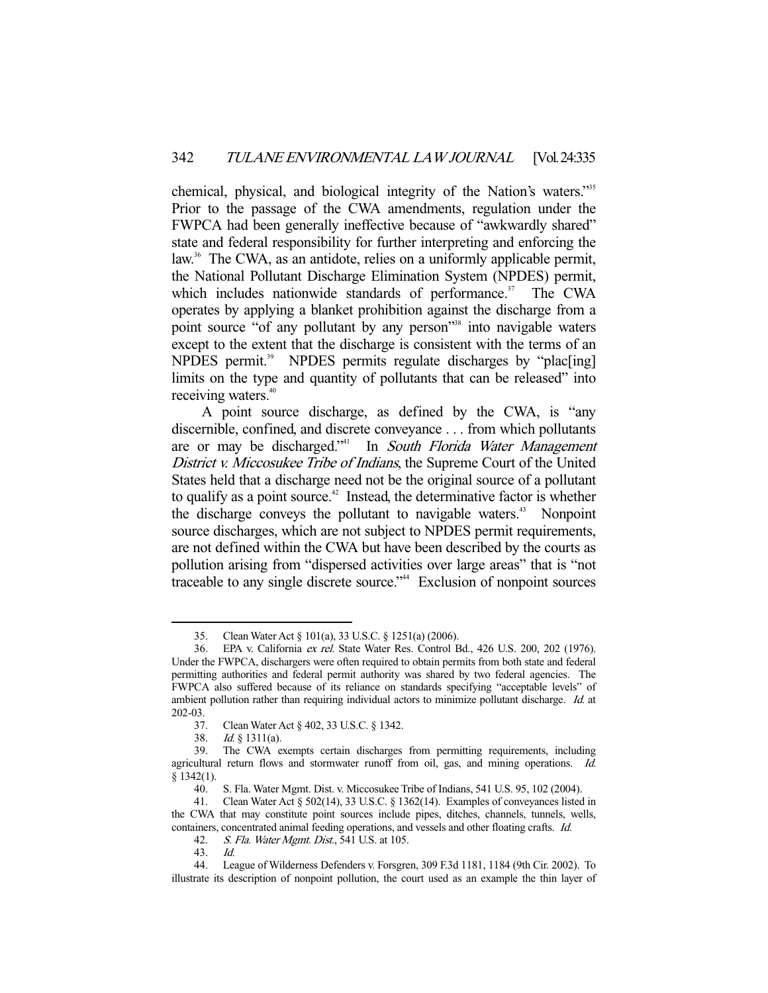chemical, physical, and biological integrity of the Nation's waters."35 Prior to the passage of the CWA amendments, regulation under the FWPCA had been generally ineffective because of "awkwardly shared" state and federal responsibility for further interpreting and enforcing the law.<sup>36</sup> The CWA, as an antidote, relies on a uniformly applicable permit, the National Pollutant Discharge Elimination System (NPDES) permit, which includes nationwide standards of performance. $37$  The CWA operates by applying a blanket prohibition against the discharge from a point source "of any pollutant by any person"<sup>38</sup> into navigable waters except to the extent that the discharge is consistent with the terms of an NPDES permit.<sup>39</sup> NPDES permits regulate discharges by "plac<sup>[ing]</sup> limits on the type and quantity of pollutants that can be released" into receiving waters.<sup>40</sup>

 A point source discharge, as defined by the CWA, is "any discernible, confined, and discrete conveyance . . . from which pollutants are or may be discharged."<sup>41</sup> In South Florida Water Management District v. Miccosukee Tribe of Indians, the Supreme Court of the United States held that a discharge need not be the original source of a pollutant to qualify as a point source.<sup> $42$ </sup> Instead, the determinative factor is whether the discharge conveys the pollutant to navigable waters.<sup>43</sup> Nonpoint source discharges, which are not subject to NPDES permit requirements, are not defined within the CWA but have been described by the courts as pollution arising from "dispersed activities over large areas" that is "not traceable to any single discrete source."44 Exclusion of nonpoint sources

 <sup>35.</sup> Clean Water Act § 101(a), 33 U.S.C. § 1251(a) (2006).

 <sup>36.</sup> EPA v. California ex rel. State Water Res. Control Bd., 426 U.S. 200, 202 (1976). Under the FWPCA, dischargers were often required to obtain permits from both state and federal permitting authorities and federal permit authority was shared by two federal agencies. The FWPCA also suffered because of its reliance on standards specifying "acceptable levels" of ambient pollution rather than requiring individual actors to minimize pollutant discharge. Id. at 202-03.

 <sup>37.</sup> Clean Water Act § 402, 33 U.S.C. § 1342.

 <sup>38.</sup> Id. § 1311(a).

 <sup>39.</sup> The CWA exempts certain discharges from permitting requirements, including agricultural return flows and stormwater runoff from oil, gas, and mining operations. Id.  $$1342(1).$ 

 <sup>40.</sup> S. Fla. Water Mgmt. Dist. v. Miccosukee Tribe of Indians, 541 U.S. 95, 102 (2004).

 <sup>41.</sup> Clean Water Act § 502(14), 33 U.S.C. § 1362(14). Examples of conveyances listed in the CWA that may constitute point sources include pipes, ditches, channels, tunnels, wells, containers, concentrated animal feeding operations, and vessels and other floating crafts. Id.

<sup>42.</sup> S. Fla. Water Mgmt. Dist., 541 U.S. at 105.

 <sup>43.</sup> Id.

 <sup>44.</sup> League of Wilderness Defenders v. Forsgren, 309 F.3d 1181, 1184 (9th Cir. 2002). To illustrate its description of nonpoint pollution, the court used as an example the thin layer of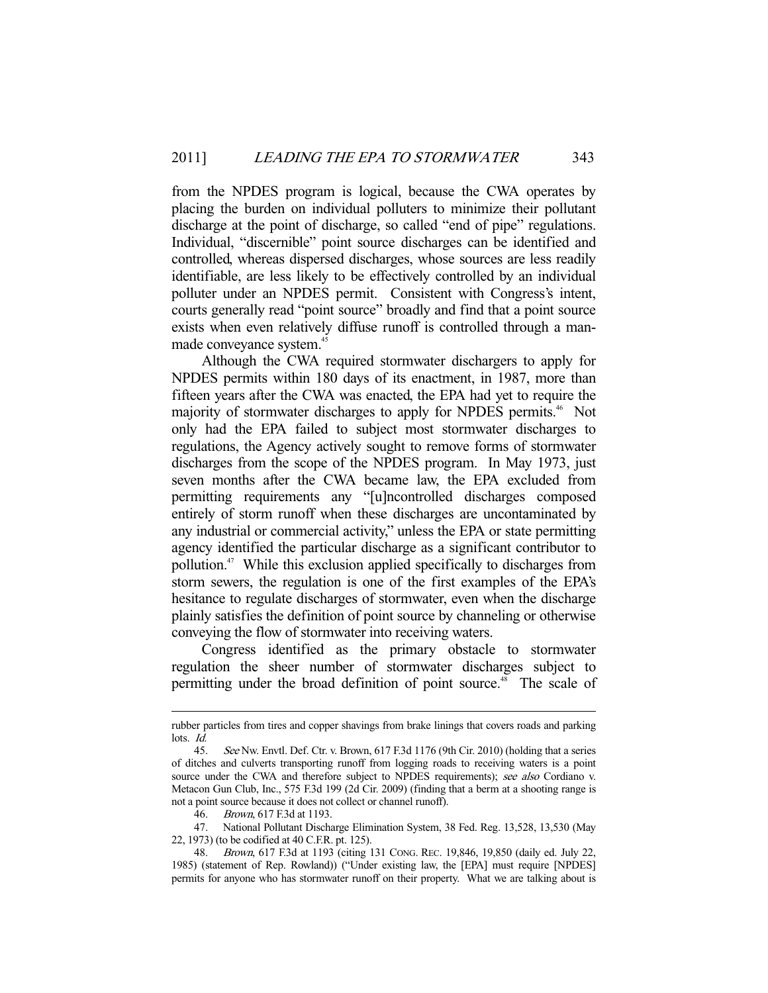from the NPDES program is logical, because the CWA operates by placing the burden on individual polluters to minimize their pollutant discharge at the point of discharge, so called "end of pipe" regulations. Individual, "discernible" point source discharges can be identified and controlled, whereas dispersed discharges, whose sources are less readily identifiable, are less likely to be effectively controlled by an individual polluter under an NPDES permit. Consistent with Congress's intent, courts generally read "point source" broadly and find that a point source exists when even relatively diffuse runoff is controlled through a manmade conveyance system.<sup>45</sup>

 Although the CWA required stormwater dischargers to apply for NPDES permits within 180 days of its enactment, in 1987, more than fifteen years after the CWA was enacted, the EPA had yet to require the majority of stormwater discharges to apply for NPDES permits.<sup>46</sup> Not only had the EPA failed to subject most stormwater discharges to regulations, the Agency actively sought to remove forms of stormwater discharges from the scope of the NPDES program. In May 1973, just seven months after the CWA became law, the EPA excluded from permitting requirements any "[u]ncontrolled discharges composed entirely of storm runoff when these discharges are uncontaminated by any industrial or commercial activity," unless the EPA or state permitting agency identified the particular discharge as a significant contributor to pollution.47 While this exclusion applied specifically to discharges from storm sewers, the regulation is one of the first examples of the EPA's hesitance to regulate discharges of stormwater, even when the discharge plainly satisfies the definition of point source by channeling or otherwise conveying the flow of stormwater into receiving waters.

 Congress identified as the primary obstacle to stormwater regulation the sheer number of stormwater discharges subject to permitting under the broad definition of point source.<sup>48</sup> The scale of

rubber particles from tires and copper shavings from brake linings that covers roads and parking lots. Id.

<sup>45.</sup> See Nw. Envtl. Def. Ctr. v. Brown, 617 F.3d 1176 (9th Cir. 2010) (holding that a series of ditches and culverts transporting runoff from logging roads to receiving waters is a point source under the CWA and therefore subject to NPDES requirements); see also Cordiano v. Metacon Gun Club, Inc., 575 F.3d 199 (2d Cir. 2009) (finding that a berm at a shooting range is not a point source because it does not collect or channel runoff).

<sup>46.</sup> Brown, 617 F.3d at 1193.

 <sup>47.</sup> National Pollutant Discharge Elimination System, 38 Fed. Reg. 13,528, 13,530 (May 22, 1973) (to be codified at 40 C.F.R. pt. 125).

 <sup>48.</sup> Brown, 617 F.3d at 1193 (citing 131 CONG. REC. 19,846, 19,850 (daily ed. July 22, 1985) (statement of Rep. Rowland)) ("Under existing law, the [EPA] must require [NPDES] permits for anyone who has stormwater runoff on their property. What we are talking about is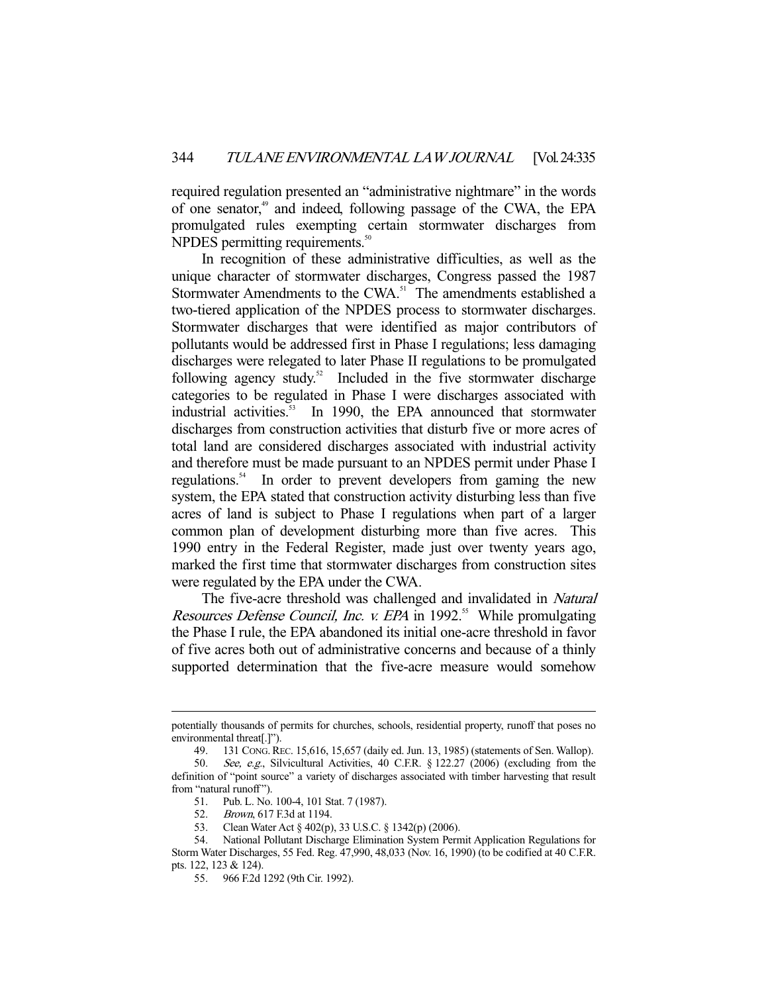required regulation presented an "administrative nightmare" in the words of one senator,<sup>49</sup> and indeed, following passage of the CWA, the EPA promulgated rules exempting certain stormwater discharges from NPDES permitting requirements.<sup>50</sup>

 In recognition of these administrative difficulties, as well as the unique character of stormwater discharges, Congress passed the 1987 Stormwater Amendments to the CWA.<sup>51</sup> The amendments established a two-tiered application of the NPDES process to stormwater discharges. Stormwater discharges that were identified as major contributors of pollutants would be addressed first in Phase I regulations; less damaging discharges were relegated to later Phase II regulations to be promulgated following agency study. $52$  Included in the five stormwater discharge categories to be regulated in Phase I were discharges associated with industrial activities.<sup>53</sup> In 1990, the EPA announced that stormwater discharges from construction activities that disturb five or more acres of total land are considered discharges associated with industrial activity and therefore must be made pursuant to an NPDES permit under Phase I regulations.<sup>54</sup> In order to prevent developers from gaming the new system, the EPA stated that construction activity disturbing less than five acres of land is subject to Phase I regulations when part of a larger common plan of development disturbing more than five acres. This 1990 entry in the Federal Register, made just over twenty years ago, marked the first time that stormwater discharges from construction sites were regulated by the EPA under the CWA.

The five-acre threshold was challenged and invalidated in Natural Resources Defense Council, Inc. v. EPA in 1992.<sup>55</sup> While promulgating the Phase I rule, the EPA abandoned its initial one-acre threshold in favor of five acres both out of administrative concerns and because of a thinly supported determination that the five-acre measure would somehow

potentially thousands of permits for churches, schools, residential property, runoff that poses no environmental threat[.]").

 <sup>49. 131</sup> CONG.REC. 15,616, 15,657 (daily ed. Jun. 13, 1985) (statements of Sen. Wallop).

<sup>50.</sup> See, e.g., Silvicultural Activities, 40 C.F.R. § 122.27 (2006) (excluding from the definition of "point source" a variety of discharges associated with timber harvesting that result from "natural runoff").

 <sup>51.</sup> Pub. L. No. 100-4, 101 Stat. 7 (1987).

<sup>52.</sup> Brown, 617 F.3d at 1194.

<sup>53.</sup> Clean Water Act § 402(p), 33 U.S.C. § 1342(p) (2006).<br>54. National Pollutant Discharge Elimination System Pern

National Pollutant Discharge Elimination System Permit Application Regulations for Storm Water Discharges, 55 Fed. Reg. 47,990, 48,033 (Nov. 16, 1990) (to be codified at 40 C.F.R. pts. 122, 123 & 124).

 <sup>55. 966</sup> F.2d 1292 (9th Cir. 1992).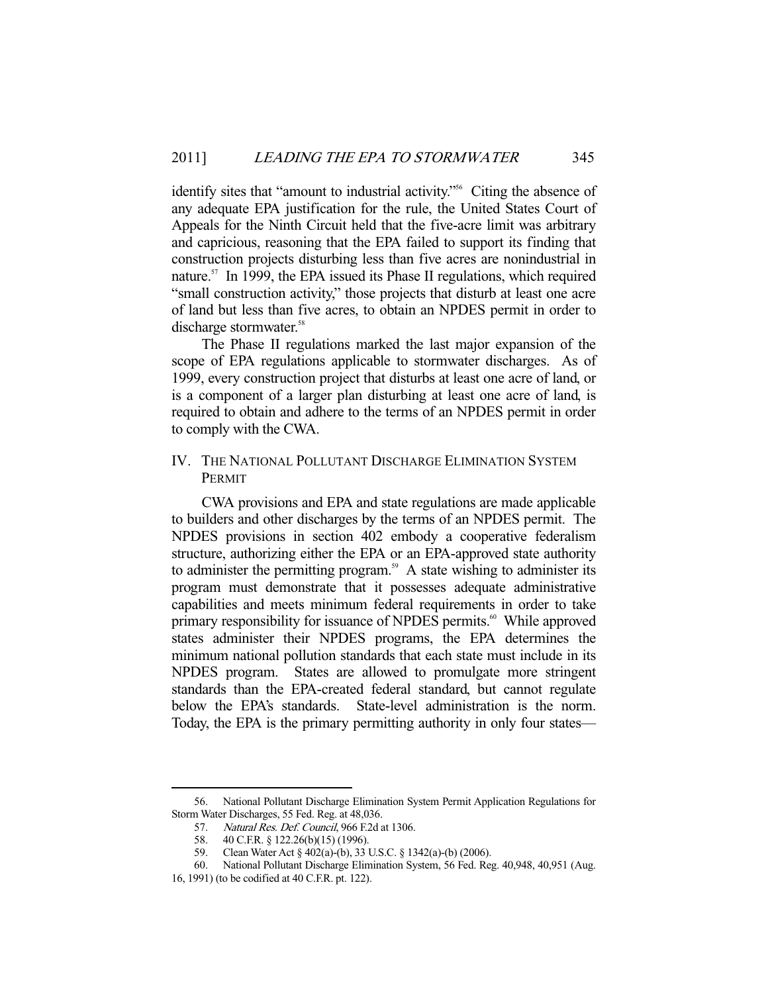identify sites that "amount to industrial activity."<sup>56</sup> Citing the absence of any adequate EPA justification for the rule, the United States Court of Appeals for the Ninth Circuit held that the five-acre limit was arbitrary and capricious, reasoning that the EPA failed to support its finding that construction projects disturbing less than five acres are nonindustrial in nature.<sup>57</sup> In 1999, the EPA issued its Phase II regulations, which required "small construction activity," those projects that disturb at least one acre of land but less than five acres, to obtain an NPDES permit in order to discharge stormwater.<sup>58</sup>

 The Phase II regulations marked the last major expansion of the scope of EPA regulations applicable to stormwater discharges. As of 1999, every construction project that disturbs at least one acre of land, or is a component of a larger plan disturbing at least one acre of land, is required to obtain and adhere to the terms of an NPDES permit in order to comply with the CWA.

## IV. THE NATIONAL POLLUTANT DISCHARGE ELIMINATION SYSTEM PERMIT

 CWA provisions and EPA and state regulations are made applicable to builders and other discharges by the terms of an NPDES permit. The NPDES provisions in section 402 embody a cooperative federalism structure, authorizing either the EPA or an EPA-approved state authority to administer the permitting program.<sup>59</sup> A state wishing to administer its program must demonstrate that it possesses adequate administrative capabilities and meets minimum federal requirements in order to take primary responsibility for issuance of NPDES permits.<sup>60</sup> While approved states administer their NPDES programs, the EPA determines the minimum national pollution standards that each state must include in its NPDES program. States are allowed to promulgate more stringent standards than the EPA-created federal standard, but cannot regulate below the EPA's standards. State-level administration is the norm. Today, the EPA is the primary permitting authority in only four states—

 <sup>56.</sup> National Pollutant Discharge Elimination System Permit Application Regulations for Storm Water Discharges, 55 Fed. Reg. at 48,036.

<sup>57.</sup> Natural Res. Def. Council, 966 F.2d at 1306.

 <sup>58. 40</sup> C.F.R. § 122.26(b)(15) (1996).

 <sup>59.</sup> Clean Water Act § 402(a)-(b), 33 U.S.C. § 1342(a)-(b) (2006).

 <sup>60.</sup> National Pollutant Discharge Elimination System, 56 Fed. Reg. 40,948, 40,951 (Aug.

<sup>16, 1991) (</sup>to be codified at 40 C.F.R. pt. 122).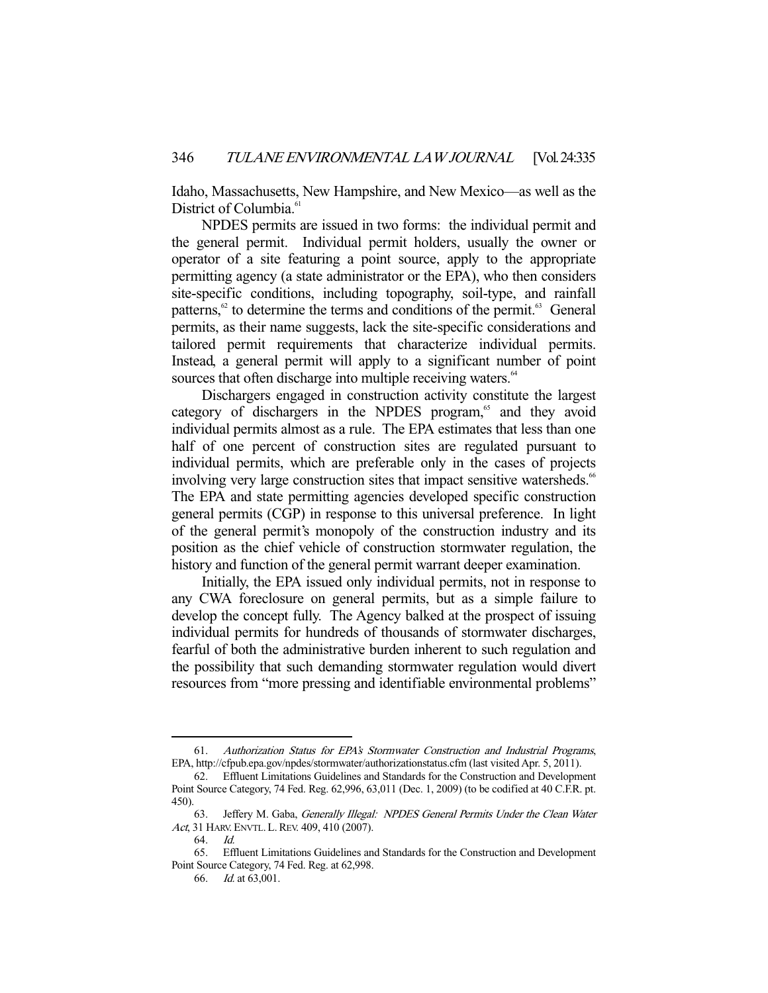Idaho, Massachusetts, New Hampshire, and New Mexico—as well as the District of Columbia.<sup>6</sup>

 NPDES permits are issued in two forms: the individual permit and the general permit. Individual permit holders, usually the owner or operator of a site featuring a point source, apply to the appropriate permitting agency (a state administrator or the EPA), who then considers site-specific conditions, including topography, soil-type, and rainfall patterns, $62$  to determine the terms and conditions of the permit. $63$  General permits, as their name suggests, lack the site-specific considerations and tailored permit requirements that characterize individual permits. Instead, a general permit will apply to a significant number of point sources that often discharge into multiple receiving waters.<sup>64</sup>

 Dischargers engaged in construction activity constitute the largest category of dischargers in the NPDES program,<sup>65</sup> and they avoid individual permits almost as a rule. The EPA estimates that less than one half of one percent of construction sites are regulated pursuant to individual permits, which are preferable only in the cases of projects involving very large construction sites that impact sensitive watersheds.<sup>66</sup> The EPA and state permitting agencies developed specific construction general permits (CGP) in response to this universal preference. In light of the general permit's monopoly of the construction industry and its position as the chief vehicle of construction stormwater regulation, the history and function of the general permit warrant deeper examination.

 Initially, the EPA issued only individual permits, not in response to any CWA foreclosure on general permits, but as a simple failure to develop the concept fully. The Agency balked at the prospect of issuing individual permits for hundreds of thousands of stormwater discharges, fearful of both the administrative burden inherent to such regulation and the possibility that such demanding stormwater regulation would divert resources from "more pressing and identifiable environmental problems"

 <sup>61.</sup> Authorization Status for EPA's Stormwater Construction and Industrial Programs, EPA, http://cfpub.epa.gov/npdes/stormwater/authorizationstatus.cfm (last visited Apr. 5, 2011).

 <sup>62.</sup> Effluent Limitations Guidelines and Standards for the Construction and Development Point Source Category, 74 Fed. Reg. 62,996, 63,011 (Dec. 1, 2009) (to be codified at 40 C.F.R. pt. 450).

 <sup>63.</sup> Jeffery M. Gaba, Generally Illegal: NPDES General Permits Under the Clean Water Act, 31 HARV. ENVTL. L. REV. 409, 410 (2007).

 <sup>64.</sup> Id.

 <sup>65.</sup> Effluent Limitations Guidelines and Standards for the Construction and Development Point Source Category, 74 Fed. Reg. at 62,998.

 <sup>66.</sup> Id. at 63,001.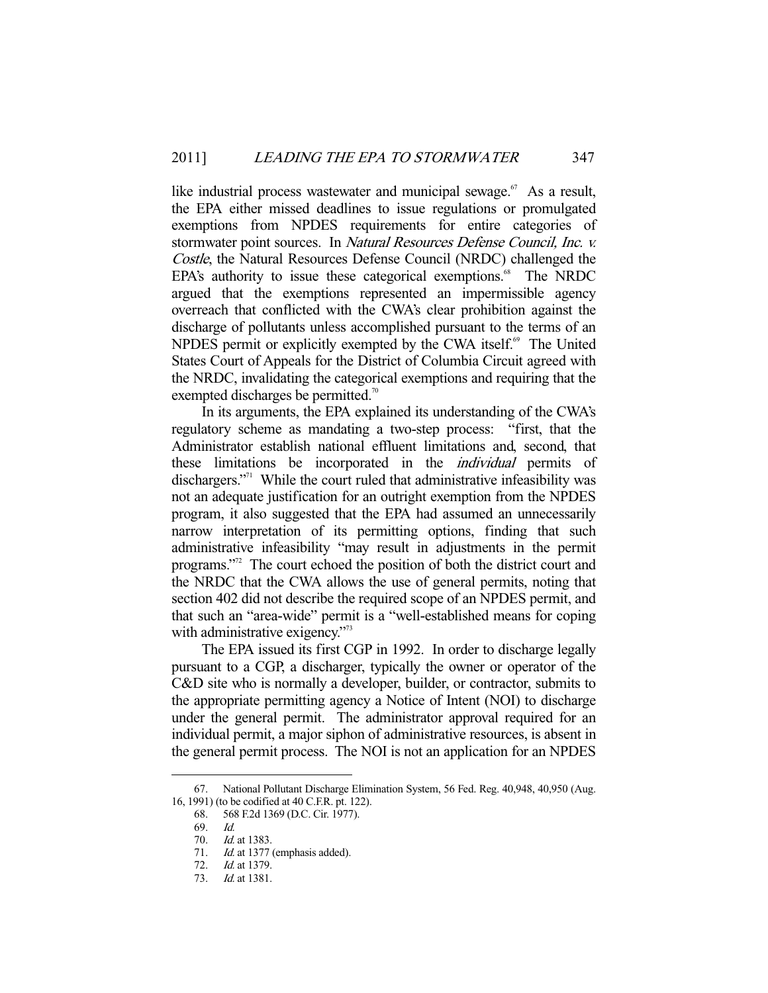like industrial process wastewater and municipal sewage. $67$  As a result, the EPA either missed deadlines to issue regulations or promulgated exemptions from NPDES requirements for entire categories of stormwater point sources. In Natural Resources Defense Council, Inc. v. Costle, the Natural Resources Defense Council (NRDC) challenged the EPA's authority to issue these categorical exemptions.<sup>68</sup> The NRDC argued that the exemptions represented an impermissible agency overreach that conflicted with the CWA's clear prohibition against the discharge of pollutants unless accomplished pursuant to the terms of an NPDES permit or explicitly exempted by the CWA itself.<sup>69</sup> The United States Court of Appeals for the District of Columbia Circuit agreed with the NRDC, invalidating the categorical exemptions and requiring that the exempted discharges be permitted.<sup>70</sup>

 In its arguments, the EPA explained its understanding of the CWA's regulatory scheme as mandating a two-step process: "first, that the Administrator establish national effluent limitations and, second, that these limitations be incorporated in the *individual* permits of dischargers."<sup>71</sup> While the court ruled that administrative infeasibility was not an adequate justification for an outright exemption from the NPDES program, it also suggested that the EPA had assumed an unnecessarily narrow interpretation of its permitting options, finding that such administrative infeasibility "may result in adjustments in the permit programs."72 The court echoed the position of both the district court and the NRDC that the CWA allows the use of general permits, noting that section 402 did not describe the required scope of an NPDES permit, and that such an "area-wide" permit is a "well-established means for coping with administrative exigency."<sup>73</sup>

 The EPA issued its first CGP in 1992. In order to discharge legally pursuant to a CGP, a discharger, typically the owner or operator of the C&D site who is normally a developer, builder, or contractor, submits to the appropriate permitting agency a Notice of Intent (NOI) to discharge under the general permit. The administrator approval required for an individual permit, a major siphon of administrative resources, is absent in the general permit process. The NOI is not an application for an NPDES

 <sup>67.</sup> National Pollutant Discharge Elimination System, 56 Fed. Reg. 40,948, 40,950 (Aug. 16, 1991) (to be codified at 40 C.F.R. pt. 122).

 <sup>68. 568</sup> F.2d 1369 (D.C. Cir. 1977).

 <sup>69.</sup> Id.

<sup>70.</sup> *Id.* at 1383.

<sup>71.</sup> Id. at 1377 (emphasis added).

 <sup>72.</sup> Id. at 1379.

 <sup>73.</sup> Id. at 1381.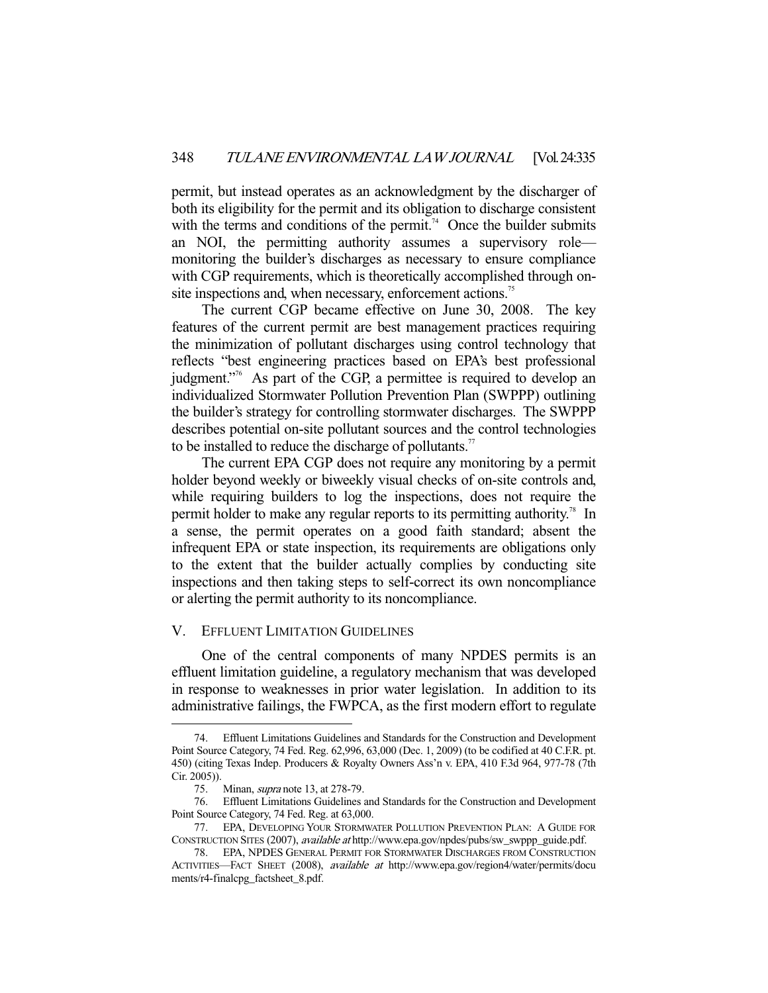permit, but instead operates as an acknowledgment by the discharger of both its eligibility for the permit and its obligation to discharge consistent with the terms and conditions of the permit.<sup>74</sup> Once the builder submits an NOI, the permitting authority assumes a supervisory role monitoring the builder's discharges as necessary to ensure compliance with CGP requirements, which is theoretically accomplished through onsite inspections and, when necessary, enforcement actions.<sup>75</sup>

 The current CGP became effective on June 30, 2008. The key features of the current permit are best management practices requiring the minimization of pollutant discharges using control technology that reflects "best engineering practices based on EPA's best professional judgment."76 As part of the CGP, a permittee is required to develop an individualized Stormwater Pollution Prevention Plan (SWPPP) outlining the builder's strategy for controlling stormwater discharges. The SWPPP describes potential on-site pollutant sources and the control technologies to be installed to reduce the discharge of pollutants.<sup>77</sup>

 The current EPA CGP does not require any monitoring by a permit holder beyond weekly or biweekly visual checks of on-site controls and, while requiring builders to log the inspections, does not require the permit holder to make any regular reports to its permitting authority.<sup>78</sup> In a sense, the permit operates on a good faith standard; absent the infrequent EPA or state inspection, its requirements are obligations only to the extent that the builder actually complies by conducting site inspections and then taking steps to self-correct its own noncompliance or alerting the permit authority to its noncompliance.

## V. EFFLUENT LIMITATION GUIDELINES

 One of the central components of many NPDES permits is an effluent limitation guideline, a regulatory mechanism that was developed in response to weaknesses in prior water legislation. In addition to its administrative failings, the FWPCA, as the first modern effort to regulate

Effluent Limitations Guidelines and Standards for the Construction and Development Point Source Category, 74 Fed. Reg. 62,996, 63,000 (Dec. 1, 2009) (to be codified at 40 C.F.R. pt. 450) (citing Texas Indep. Producers & Royalty Owners Ass'n v. EPA, 410 F.3d 964, 977-78 (7th Cir. 2005)).

 <sup>75.</sup> Minan, supra note 13, at 278-79.

 <sup>76.</sup> Effluent Limitations Guidelines and Standards for the Construction and Development Point Source Category, 74 Fed. Reg. at 63,000.

 <sup>77.</sup> EPA, DEVELOPING YOUR STORMWATER POLLUTION PREVENTION PLAN: A GUIDE FOR CONSTRUCTION SITES (2007), available at http://www.epa.gov/npdes/pubs/sw\_swppp\_guide.pdf.

 <sup>78.</sup> EPA, NPDES GENERAL PERMIT FOR STORMWATER DISCHARGES FROM CONSTRUCTION ACTIVITIES—FACT SHEET (2008), available at http://www.epa.gov/region4/water/permits/docu ments/r4-finalcpg\_factsheet\_8.pdf.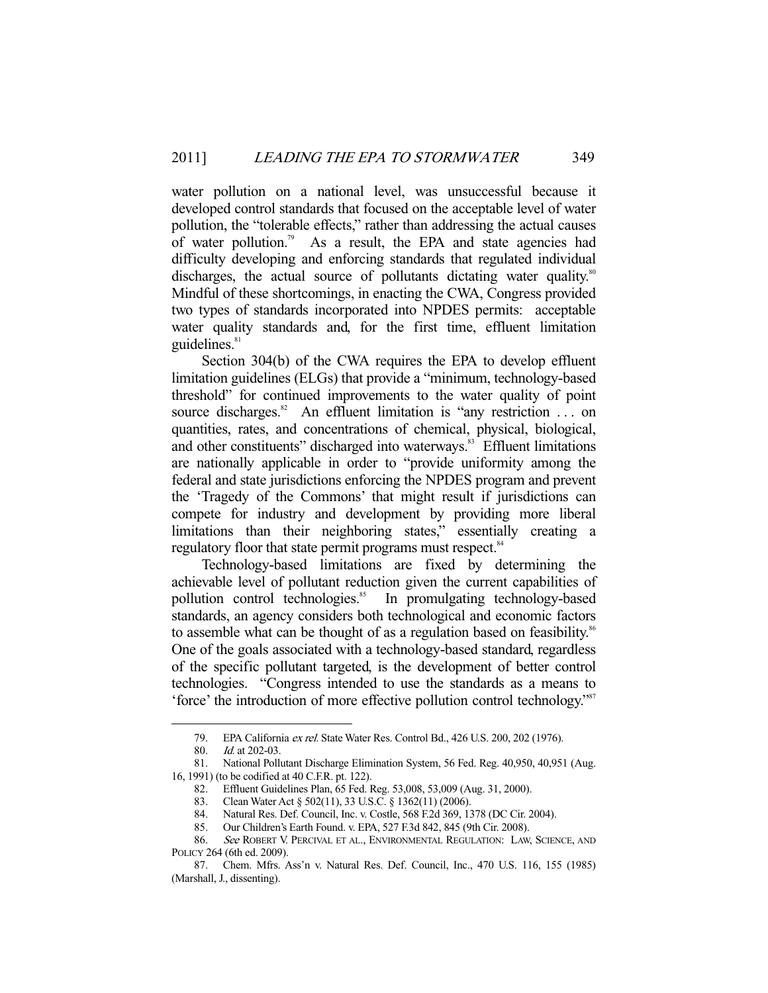water pollution on a national level, was unsuccessful because it developed control standards that focused on the acceptable level of water pollution, the "tolerable effects," rather than addressing the actual causes of water pollution.<sup>79</sup> As a result, the EPA and state agencies had difficulty developing and enforcing standards that regulated individual discharges, the actual source of pollutants dictating water quality.<sup>80</sup> Mindful of these shortcomings, in enacting the CWA, Congress provided two types of standards incorporated into NPDES permits: acceptable water quality standards and, for the first time, effluent limitation guidelines.<sup>81</sup>

 Section 304(b) of the CWA requires the EPA to develop effluent limitation guidelines (ELGs) that provide a "minimum, technology-based threshold" for continued improvements to the water quality of point source discharges.<sup>82</sup> An effluent limitation is "any restriction ... on quantities, rates, and concentrations of chemical, physical, biological, and other constituents" discharged into waterways.<sup>83</sup> Effluent limitations are nationally applicable in order to "provide uniformity among the federal and state jurisdictions enforcing the NPDES program and prevent the 'Tragedy of the Commons' that might result if jurisdictions can compete for industry and development by providing more liberal limitations than their neighboring states," essentially creating a regulatory floor that state permit programs must respect.<sup>84</sup>

 Technology-based limitations are fixed by determining the achievable level of pollutant reduction given the current capabilities of pollution control technologies.<sup>85</sup> In promulgating technology-based standards, an agency considers both technological and economic factors to assemble what can be thought of as a regulation based on feasibility.<sup>86</sup> One of the goals associated with a technology-based standard, regardless of the specific pollutant targeted, is the development of better control technologies. "Congress intended to use the standards as a means to 'force' the introduction of more effective pollution control technology."87

 <sup>79.</sup> EPA California ex rel. State Water Res. Control Bd., 426 U.S. 200, 202 (1976).

 <sup>80.</sup> Id. at 202-03.

 <sup>81.</sup> National Pollutant Discharge Elimination System, 56 Fed. Reg. 40,950, 40,951 (Aug. 16, 1991) (to be codified at 40 C.F.R. pt. 122).

 <sup>82.</sup> Effluent Guidelines Plan, 65 Fed. Reg. 53,008, 53,009 (Aug. 31, 2000).

<sup>83.</sup> Clean Water Act § 502(11), 33 U.S.C. § 1362(11) (2006).

 <sup>84.</sup> Natural Res. Def. Council, Inc. v. Costle, 568 F.2d 369, 1378 (DC Cir. 2004).

 <sup>85.</sup> Our Children's Earth Found. v. EPA, 527 F.3d 842, 845 (9th Cir. 2008).

 <sup>86.</sup> See ROBERT V. PERCIVAL ET AL., ENVIRONMENTAL REGULATION: LAW, SCIENCE, AND POLICY 264 (6th ed. 2009).

 <sup>87.</sup> Chem. Mfrs. Ass'n v. Natural Res. Def. Council, Inc., 470 U.S. 116, 155 (1985) (Marshall, J., dissenting).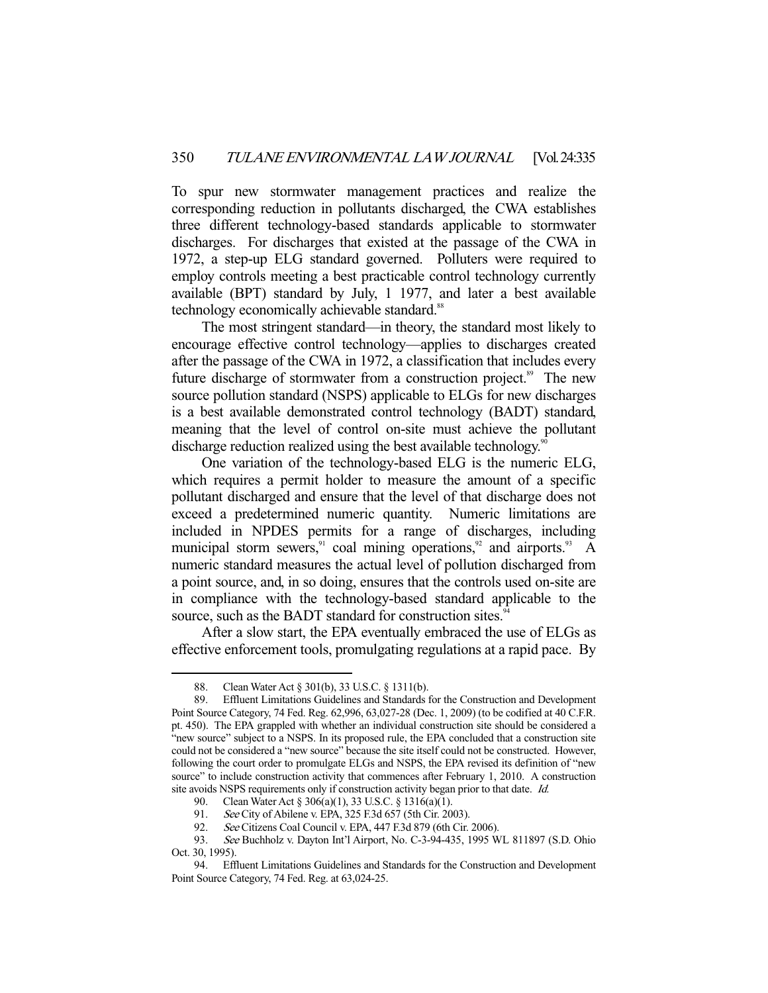To spur new stormwater management practices and realize the corresponding reduction in pollutants discharged, the CWA establishes three different technology-based standards applicable to stormwater discharges. For discharges that existed at the passage of the CWA in 1972, a step-up ELG standard governed. Polluters were required to employ controls meeting a best practicable control technology currently available (BPT) standard by July, 1 1977, and later a best available technology economically achievable standard.<sup>88</sup>

 The most stringent standard—in theory, the standard most likely to encourage effective control technology—applies to discharges created after the passage of the CWA in 1972, a classification that includes every future discharge of stormwater from a construction project.<sup>89</sup> The new source pollution standard (NSPS) applicable to ELGs for new discharges is a best available demonstrated control technology (BADT) standard, meaning that the level of control on-site must achieve the pollutant discharge reduction realized using the best available technology.<sup>90</sup>

 One variation of the technology-based ELG is the numeric ELG, which requires a permit holder to measure the amount of a specific pollutant discharged and ensure that the level of that discharge does not exceed a predetermined numeric quantity. Numeric limitations are included in NPDES permits for a range of discharges, including municipal storm sewers,<sup>91</sup> coal mining operations,<sup>92</sup> and airports.<sup>93</sup> A numeric standard measures the actual level of pollution discharged from a point source, and, in so doing, ensures that the controls used on-site are in compliance with the technology-based standard applicable to the source, such as the BADT standard for construction sites.<sup>94</sup>

 After a slow start, the EPA eventually embraced the use of ELGs as effective enforcement tools, promulgating regulations at a rapid pace. By

 <sup>88.</sup> Clean Water Act § 301(b), 33 U.S.C. § 1311(b).

 <sup>89.</sup> Effluent Limitations Guidelines and Standards for the Construction and Development Point Source Category, 74 Fed. Reg. 62,996, 63,027-28 (Dec. 1, 2009) (to be codified at 40 C.F.R. pt. 450). The EPA grappled with whether an individual construction site should be considered a "new source" subject to a NSPS. In its proposed rule, the EPA concluded that a construction site could not be considered a "new source" because the site itself could not be constructed. However, following the court order to promulgate ELGs and NSPS, the EPA revised its definition of "new source" to include construction activity that commences after February 1, 2010. A construction site avoids NSPS requirements only if construction activity began prior to that date. Id.

 <sup>90.</sup> Clean Water Act § 306(a)(1), 33 U.S.C. § 1316(a)(1).

<sup>91.</sup> See City of Abilene v. EPA, 325 F.3d 657 (5th Cir. 2003).

 <sup>92.</sup> See Citizens Coal Council v. EPA, 447 F.3d 879 (6th Cir. 2006).

 <sup>93.</sup> See Buchholz v. Dayton Int'l Airport, No. C-3-94-435, 1995 WL 811897 (S.D. Ohio Oct. 30, 1995).

 <sup>94.</sup> Effluent Limitations Guidelines and Standards for the Construction and Development Point Source Category, 74 Fed. Reg. at 63,024-25.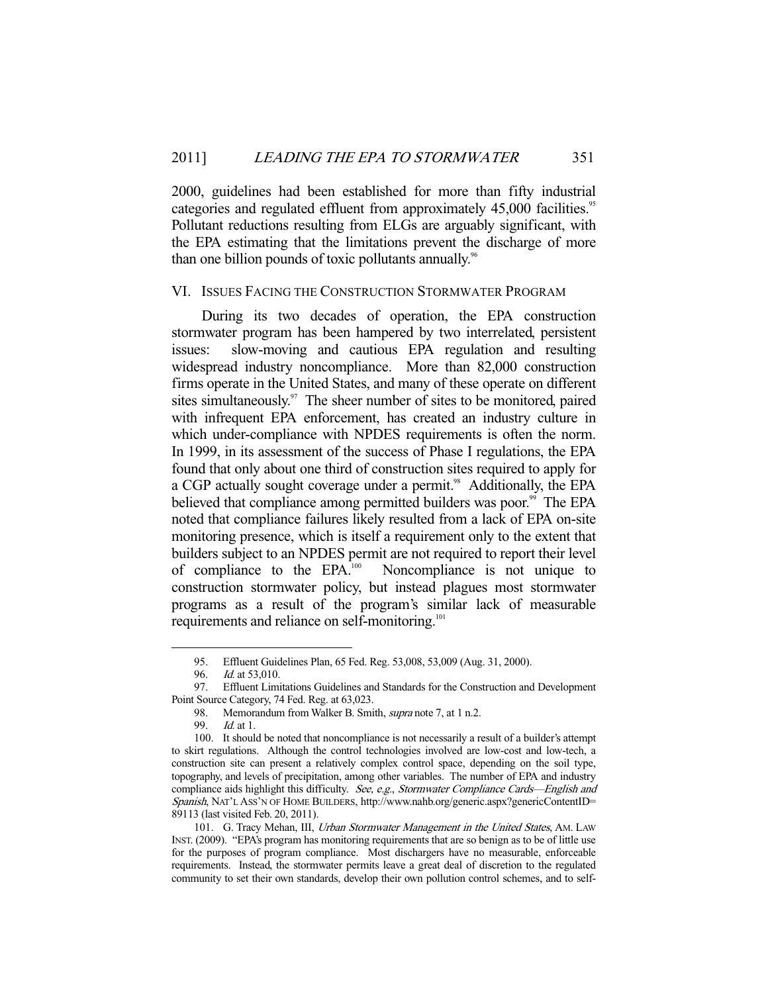2000, guidelines had been established for more than fifty industrial categories and regulated effluent from approximately 45,000 facilities.<sup>95</sup> Pollutant reductions resulting from ELGs are arguably significant, with the EPA estimating that the limitations prevent the discharge of more than one billion pounds of toxic pollutants annually.<sup>96</sup>

#### VI. ISSUES FACING THE CONSTRUCTION STORMWATER PROGRAM

 During its two decades of operation, the EPA construction stormwater program has been hampered by two interrelated, persistent issues: slow-moving and cautious EPA regulation and resulting widespread industry noncompliance. More than 82,000 construction firms operate in the United States, and many of these operate on different sites simultaneously. $97$  The sheer number of sites to be monitored, paired with infrequent EPA enforcement, has created an industry culture in which under-compliance with NPDES requirements is often the norm. In 1999, in its assessment of the success of Phase I regulations, the EPA found that only about one third of construction sites required to apply for a CGP actually sought coverage under a permit.<sup>98</sup> Additionally, the EPA believed that compliance among permitted builders was poor.<sup>99</sup> The EPA noted that compliance failures likely resulted from a lack of EPA on-site monitoring presence, which is itself a requirement only to the extent that builders subject to an NPDES permit are not required to report their level of compliance to the EPA.100 Noncompliance is not unique to construction stormwater policy, but instead plagues most stormwater programs as a result of the program's similar lack of measurable requirements and reliance on self-monitoring.<sup>101</sup>

 <sup>95.</sup> Effluent Guidelines Plan, 65 Fed. Reg. 53,008, 53,009 (Aug. 31, 2000).

<sup>96.</sup> *Id.* at 53,010.

 <sup>97.</sup> Effluent Limitations Guidelines and Standards for the Construction and Development Point Source Category, 74 Fed. Reg. at 63,023.

<sup>98.</sup> Memorandum from Walker B. Smith, *supra* note 7, at 1 n.2.

<sup>99.</sup> *Id.* at 1.

 <sup>100.</sup> It should be noted that noncompliance is not necessarily a result of a builder's attempt to skirt regulations. Although the control technologies involved are low-cost and low-tech, a construction site can present a relatively complex control space, depending on the soil type, topography, and levels of precipitation, among other variables. The number of EPA and industry compliance aids highlight this difficulty. See, e.g., Stormwater Compliance Cards—English and Spanish, NAT'L ASS'N OF HOME BUILDERS, http://www.nahb.org/generic.aspx?genericContentID= 89113 (last visited Feb. 20, 2011).

<sup>101.</sup> G. Tracy Mehan, III, Urban Stormwater Management in the United States, AM. LAW INST. (2009). "EPA's program has monitoring requirements that are so benign as to be of little use for the purposes of program compliance. Most dischargers have no measurable, enforceable requirements. Instead, the stormwater permits leave a great deal of discretion to the regulated community to set their own standards, develop their own pollution control schemes, and to self-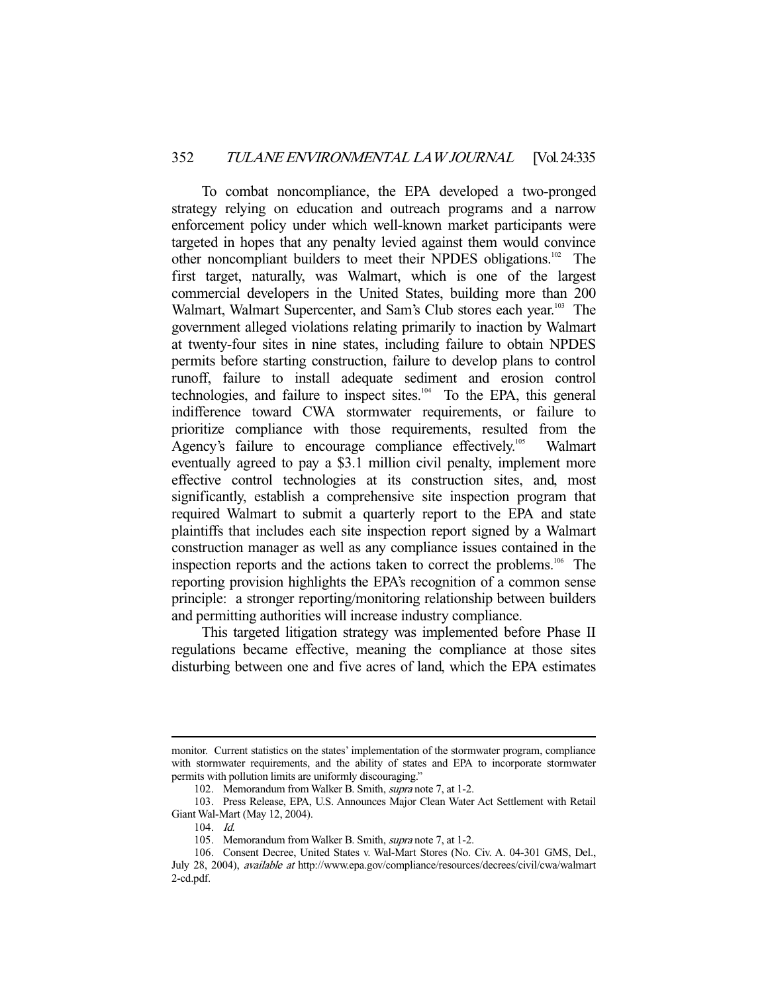To combat noncompliance, the EPA developed a two-pronged strategy relying on education and outreach programs and a narrow enforcement policy under which well-known market participants were targeted in hopes that any penalty levied against them would convince other noncompliant builders to meet their NPDES obligations.102 The first target, naturally, was Walmart, which is one of the largest commercial developers in the United States, building more than 200 Walmart, Walmart Supercenter, and Sam's Club stores each year.<sup>103</sup> The government alleged violations relating primarily to inaction by Walmart at twenty-four sites in nine states, including failure to obtain NPDES permits before starting construction, failure to develop plans to control runoff, failure to install adequate sediment and erosion control technologies, and failure to inspect sites. $104$  To the EPA, this general indifference toward CWA stormwater requirements, or failure to prioritize compliance with those requirements, resulted from the Agency's failure to encourage compliance effectively.<sup>105</sup> Walmart eventually agreed to pay a \$3.1 million civil penalty, implement more effective control technologies at its construction sites, and, most significantly, establish a comprehensive site inspection program that required Walmart to submit a quarterly report to the EPA and state plaintiffs that includes each site inspection report signed by a Walmart construction manager as well as any compliance issues contained in the inspection reports and the actions taken to correct the problems.<sup>106</sup> The reporting provision highlights the EPA's recognition of a common sense principle: a stronger reporting/monitoring relationship between builders and permitting authorities will increase industry compliance.

 This targeted litigation strategy was implemented before Phase II regulations became effective, meaning the compliance at those sites disturbing between one and five acres of land, which the EPA estimates

monitor. Current statistics on the states' implementation of the stormwater program, compliance with stormwater requirements, and the ability of states and EPA to incorporate stormwater permits with pollution limits are uniformly discouraging."

 <sup>102.</sup> Memorandum from Walker B. Smith, supra note 7, at 1-2.

 <sup>103.</sup> Press Release, EPA, U.S. Announces Major Clean Water Act Settlement with Retail Giant Wal-Mart (May 12, 2004).

 <sup>104.</sup> Id.

 <sup>105.</sup> Memorandum from Walker B. Smith, supra note 7, at 1-2.

 <sup>106.</sup> Consent Decree, United States v. Wal-Mart Stores (No. Civ. A. 04-301 GMS, Del., July 28, 2004), available at http://www.epa.gov/compliance/resources/decrees/civil/cwa/walmart 2-cd.pdf.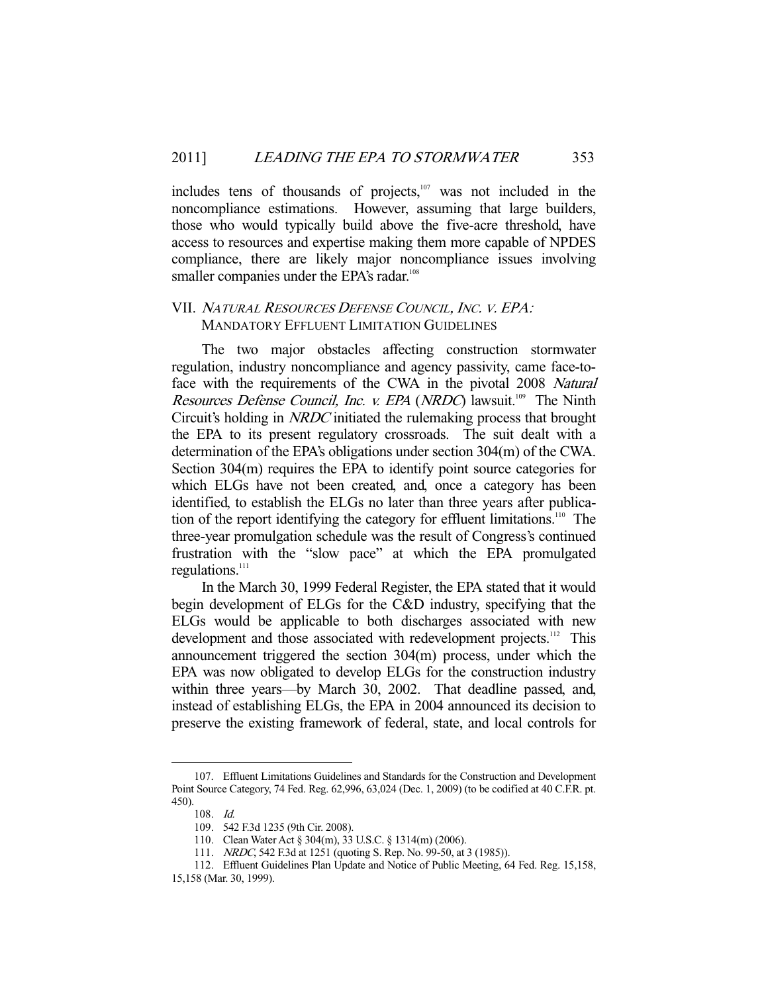includes tens of thousands of projects,<sup>107</sup> was not included in the noncompliance estimations. However, assuming that large builders, those who would typically build above the five-acre threshold, have access to resources and expertise making them more capable of NPDES compliance, there are likely major noncompliance issues involving smaller companies under the EPA's radar.<sup>108</sup>

## VII. <sup>N</sup>ATURAL RESOURCES DEFENSE COUNCIL, <sup>I</sup>NC. V. EPA: MANDATORY EFFLUENT LIMITATION GUIDELINES

 The two major obstacles affecting construction stormwater regulation, industry noncompliance and agency passivity, came face-toface with the requirements of the CWA in the pivotal 2008 Natural Resources Defense Council, Inc. v. EPA (NRDC) lawsuit.<sup>109</sup> The Ninth Circuit's holding in NRDC initiated the rulemaking process that brought the EPA to its present regulatory crossroads. The suit dealt with a determination of the EPA's obligations under section 304(m) of the CWA. Section 304(m) requires the EPA to identify point source categories for which ELGs have not been created, and, once a category has been identified, to establish the ELGs no later than three years after publication of the report identifying the category for effluent limitations.<sup>110</sup> The three-year promulgation schedule was the result of Congress's continued frustration with the "slow pace" at which the EPA promulgated regulations.<sup>111</sup>

 In the March 30, 1999 Federal Register, the EPA stated that it would begin development of ELGs for the C&D industry, specifying that the ELGs would be applicable to both discharges associated with new development and those associated with redevelopment projects.<sup>112</sup> This announcement triggered the section 304(m) process, under which the EPA was now obligated to develop ELGs for the construction industry within three years—by March 30, 2002. That deadline passed, and, instead of establishing ELGs, the EPA in 2004 announced its decision to preserve the existing framework of federal, state, and local controls for

 <sup>107.</sup> Effluent Limitations Guidelines and Standards for the Construction and Development Point Source Category, 74 Fed. Reg. 62,996, 63,024 (Dec. 1, 2009) (to be codified at 40 C.F.R. pt. 450).

 <sup>108.</sup> Id.

 <sup>109. 542</sup> F.3d 1235 (9th Cir. 2008).

 <sup>110.</sup> Clean Water Act § 304(m), 33 U.S.C. § 1314(m) (2006).

<sup>111.</sup> *NRDC*, 542 F.3d at 1251 (quoting S. Rep. No. 99-50, at 3 (1985)).

 <sup>112.</sup> Effluent Guidelines Plan Update and Notice of Public Meeting, 64 Fed. Reg. 15,158,

<sup>15,158 (</sup>Mar. 30, 1999).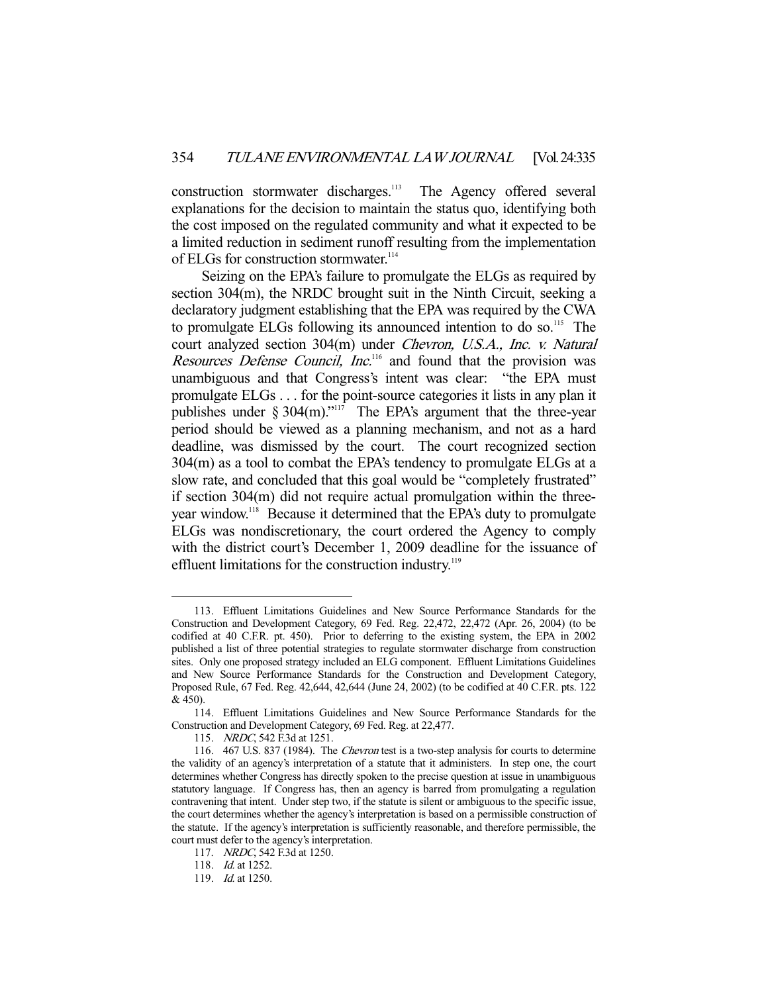construction stormwater discharges.<sup>113</sup> The Agency offered several explanations for the decision to maintain the status quo, identifying both the cost imposed on the regulated community and what it expected to be a limited reduction in sediment runoff resulting from the implementation of ELGs for construction stormwater.<sup>114</sup>

 Seizing on the EPA's failure to promulgate the ELGs as required by section 304(m), the NRDC brought suit in the Ninth Circuit, seeking a declaratory judgment establishing that the EPA was required by the CWA to promulgate ELGs following its announced intention to do so.<sup>115</sup> The court analyzed section 304(m) under Chevron, U.S.A., Inc. v. Natural Resources Defense Council, Inc.<sup>116</sup> and found that the provision was unambiguous and that Congress's intent was clear: "the EPA must promulgate ELGs . . . for the point-source categories it lists in any plan it publishes under  $\S 304$ (m)."<sup>117</sup> The EPA's argument that the three-year period should be viewed as a planning mechanism, and not as a hard deadline, was dismissed by the court. The court recognized section 304(m) as a tool to combat the EPA's tendency to promulgate ELGs at a slow rate, and concluded that this goal would be "completely frustrated" if section 304(m) did not require actual promulgation within the threeyear window.118 Because it determined that the EPA's duty to promulgate ELGs was nondiscretionary, the court ordered the Agency to comply with the district court's December 1, 2009 deadline for the issuance of effluent limitations for the construction industry.<sup>119</sup>

 <sup>113.</sup> Effluent Limitations Guidelines and New Source Performance Standards for the Construction and Development Category, 69 Fed. Reg. 22,472, 22,472 (Apr. 26, 2004) (to be codified at 40 C.F.R. pt. 450). Prior to deferring to the existing system, the EPA in 2002 published a list of three potential strategies to regulate stormwater discharge from construction sites. Only one proposed strategy included an ELG component. Effluent Limitations Guidelines and New Source Performance Standards for the Construction and Development Category, Proposed Rule, 67 Fed. Reg. 42,644, 42,644 (June 24, 2002) (to be codified at 40 C.F.R. pts. 122 & 450).

 <sup>114.</sup> Effluent Limitations Guidelines and New Source Performance Standards for the Construction and Development Category, 69 Fed. Reg. at 22,477.

<sup>115.</sup> NRDC, 542 F.3d at 1251.

 <sup>116. 467</sup> U.S. 837 (1984). The Chevron test is a two-step analysis for courts to determine the validity of an agency's interpretation of a statute that it administers. In step one, the court determines whether Congress has directly spoken to the precise question at issue in unambiguous statutory language. If Congress has, then an agency is barred from promulgating a regulation contravening that intent. Under step two, if the statute is silent or ambiguous to the specific issue, the court determines whether the agency's interpretation is based on a permissible construction of the statute. If the agency's interpretation is sufficiently reasonable, and therefore permissible, the court must defer to the agency's interpretation.

 <sup>117.</sup> NRDC, 542 F.3d at 1250.

<sup>118.</sup> *Id.* at 1252.

<sup>119.</sup> *Id.* at 1250.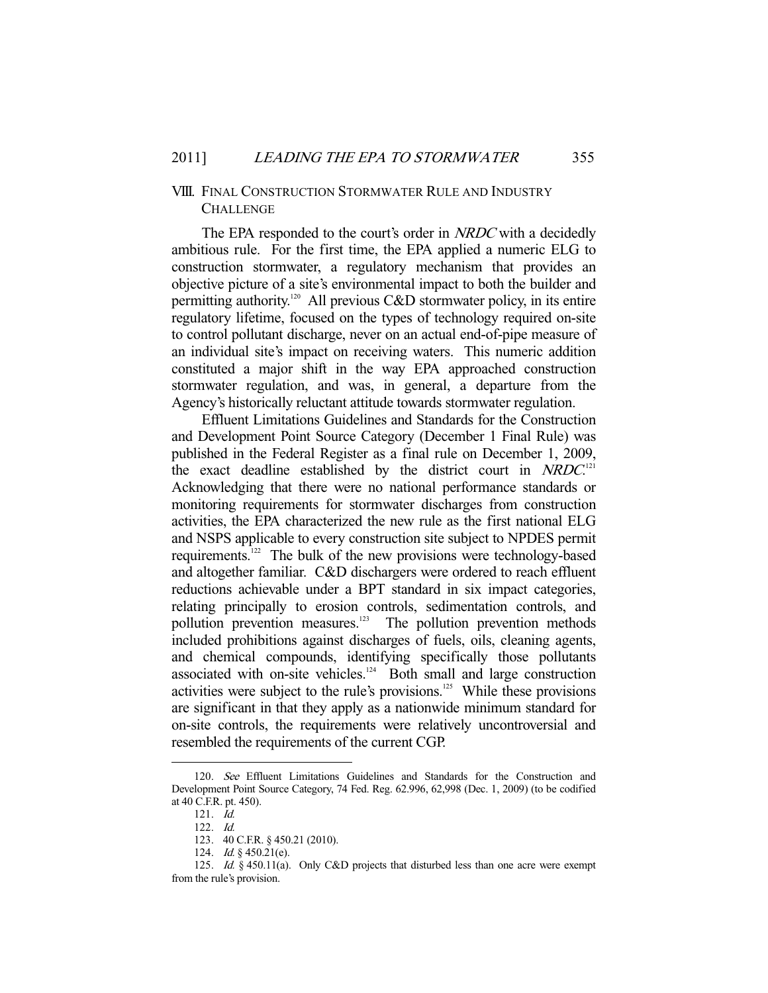## VIII. FINAL CONSTRUCTION STORMWATER RULE AND INDUSTRY **CHALLENGE**

The EPA responded to the court's order in NRDC with a decidedly ambitious rule. For the first time, the EPA applied a numeric ELG to construction stormwater, a regulatory mechanism that provides an objective picture of a site's environmental impact to both the builder and permitting authority.<sup>120</sup> All previous C&D stormwater policy, in its entire regulatory lifetime, focused on the types of technology required on-site to control pollutant discharge, never on an actual end-of-pipe measure of an individual site's impact on receiving waters. This numeric addition constituted a major shift in the way EPA approached construction stormwater regulation, and was, in general, a departure from the Agency's historically reluctant attitude towards stormwater regulation.

 Effluent Limitations Guidelines and Standards for the Construction and Development Point Source Category (December 1 Final Rule) was published in the Federal Register as a final rule on December 1, 2009, the exact deadline established by the district court in  $NRDC$ .<sup>[21</sup>] Acknowledging that there were no national performance standards or monitoring requirements for stormwater discharges from construction activities, the EPA characterized the new rule as the first national ELG and NSPS applicable to every construction site subject to NPDES permit requirements.122 The bulk of the new provisions were technology-based and altogether familiar. C&D dischargers were ordered to reach effluent reductions achievable under a BPT standard in six impact categories, relating principally to erosion controls, sedimentation controls, and pollution prevention measures.<sup>123</sup> The pollution prevention methods included prohibitions against discharges of fuels, oils, cleaning agents, and chemical compounds, identifying specifically those pollutants associated with on-site vehicles.<sup>124</sup> Both small and large construction activities were subject to the rule's provisions.<sup>125</sup> While these provisions are significant in that they apply as a nationwide minimum standard for on-site controls, the requirements were relatively uncontroversial and resembled the requirements of the current CGP.

 <sup>120.</sup> See Effluent Limitations Guidelines and Standards for the Construction and Development Point Source Category, 74 Fed. Reg. 62.996, 62,998 (Dec. 1, 2009) (to be codified at 40 C.F.R. pt. 450).

 <sup>121.</sup> Id.

 <sup>122.</sup> Id.

 <sup>123. 40</sup> C.F.R. § 450.21 (2010).

<sup>124.</sup> *Id.* § 450.21(e).

<sup>125.</sup> Id. § 450.11(a). Only C&D projects that disturbed less than one acre were exempt from the rule's provision.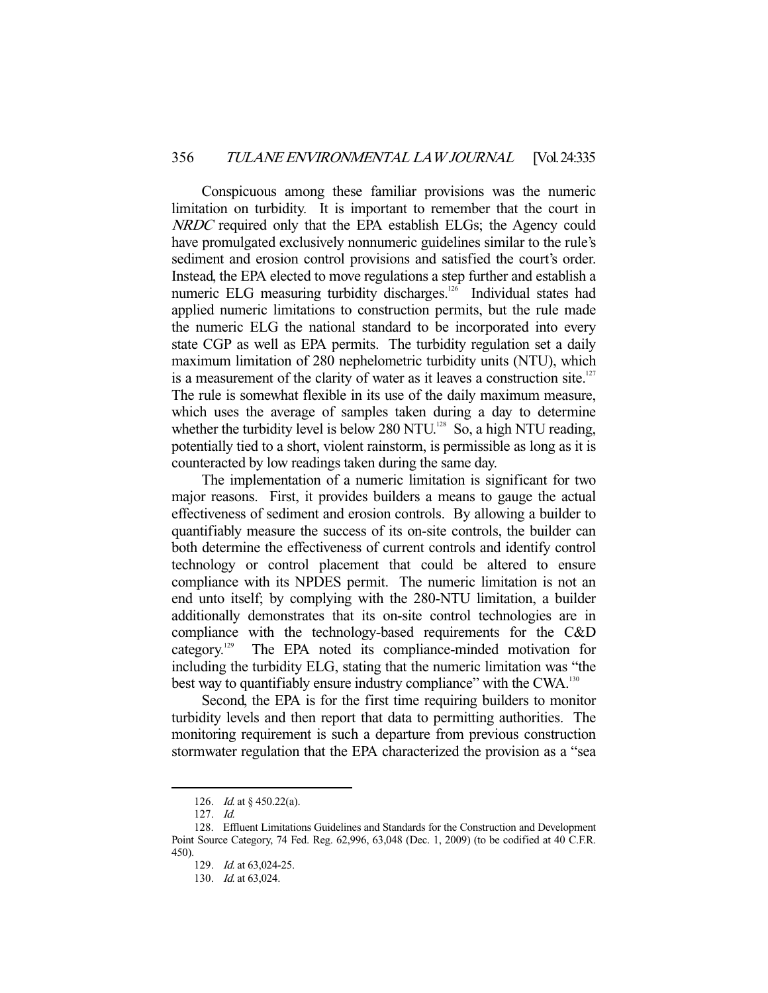Conspicuous among these familiar provisions was the numeric limitation on turbidity. It is important to remember that the court in NRDC required only that the EPA establish ELGs; the Agency could have promulgated exclusively nonnumeric guidelines similar to the rule's sediment and erosion control provisions and satisfied the court's order. Instead, the EPA elected to move regulations a step further and establish a numeric ELG measuring turbidity discharges.<sup>126</sup> Individual states had applied numeric limitations to construction permits, but the rule made the numeric ELG the national standard to be incorporated into every state CGP as well as EPA permits. The turbidity regulation set a daily maximum limitation of 280 nephelometric turbidity units (NTU), which is a measurement of the clarity of water as it leaves a construction site.<sup>127</sup> The rule is somewhat flexible in its use of the daily maximum measure, which uses the average of samples taken during a day to determine whether the turbidity level is below 280 NTU.<sup>128</sup> So, a high NTU reading, potentially tied to a short, violent rainstorm, is permissible as long as it is counteracted by low readings taken during the same day.

 The implementation of a numeric limitation is significant for two major reasons. First, it provides builders a means to gauge the actual effectiveness of sediment and erosion controls. By allowing a builder to quantifiably measure the success of its on-site controls, the builder can both determine the effectiveness of current controls and identify control technology or control placement that could be altered to ensure compliance with its NPDES permit. The numeric limitation is not an end unto itself; by complying with the 280-NTU limitation, a builder additionally demonstrates that its on-site control technologies are in compliance with the technology-based requirements for the C&D category.129 The EPA noted its compliance-minded motivation for including the turbidity ELG, stating that the numeric limitation was "the best way to quantifiably ensure industry compliance" with the CWA.<sup>130</sup>

 Second, the EPA is for the first time requiring builders to monitor turbidity levels and then report that data to permitting authorities. The monitoring requirement is such a departure from previous construction stormwater regulation that the EPA characterized the provision as a "sea

 <sup>126.</sup> Id. at § 450.22(a).

 <sup>127.</sup> Id.

 <sup>128.</sup> Effluent Limitations Guidelines and Standards for the Construction and Development Point Source Category, 74 Fed. Reg. 62,996, 63,048 (Dec. 1, 2009) (to be codified at 40 C.F.R. 450).

 <sup>129.</sup> Id. at 63,024-25.

 <sup>130.</sup> Id. at 63,024.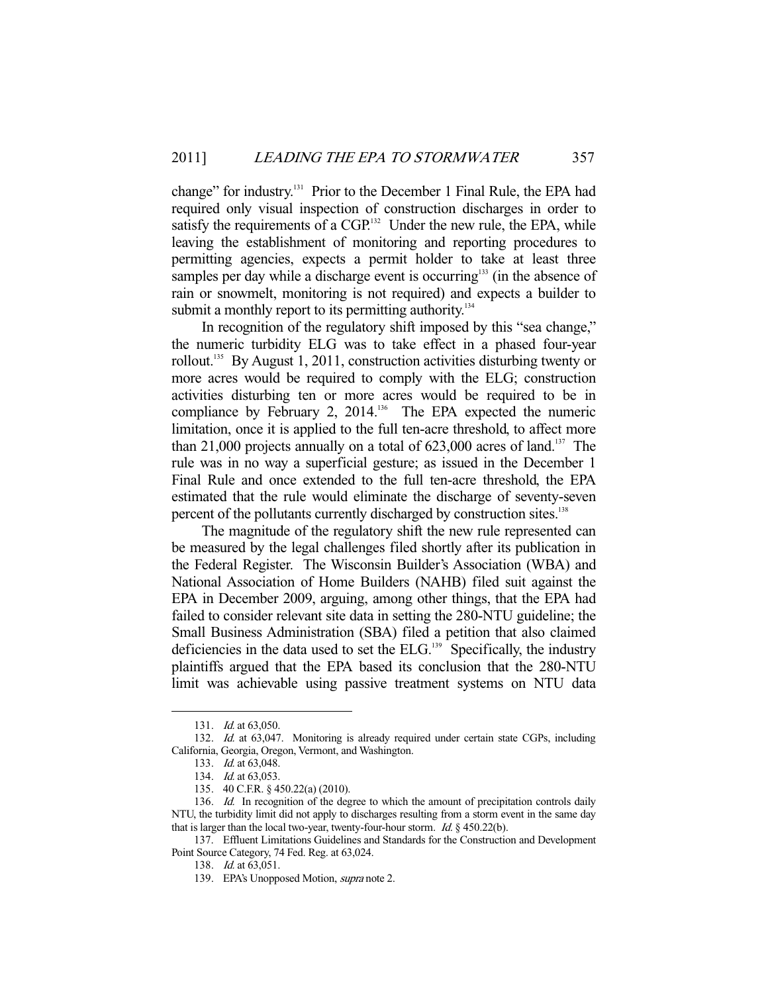change" for industry.<sup>131</sup> Prior to the December 1 Final Rule, the EPA had required only visual inspection of construction discharges in order to satisfy the requirements of a  $CGP<sup>132</sup>$  Under the new rule, the EPA, while leaving the establishment of monitoring and reporting procedures to permitting agencies, expects a permit holder to take at least three samples per day while a discharge event is occurring<sup>133</sup> (in the absence of rain or snowmelt, monitoring is not required) and expects a builder to submit a monthly report to its permitting authority.<sup>134</sup>

 In recognition of the regulatory shift imposed by this "sea change," the numeric turbidity ELG was to take effect in a phased four-year rollout.135 By August 1, 2011, construction activities disturbing twenty or more acres would be required to comply with the ELG; construction activities disturbing ten or more acres would be required to be in compliance by February 2, 2014.<sup>136</sup> The EPA expected the numeric limitation, once it is applied to the full ten-acre threshold, to affect more than 21,000 projects annually on a total of  $623,000$  acres of land.<sup>137</sup> The rule was in no way a superficial gesture; as issued in the December 1 Final Rule and once extended to the full ten-acre threshold, the EPA estimated that the rule would eliminate the discharge of seventy-seven percent of the pollutants currently discharged by construction sites.<sup>138</sup>

 The magnitude of the regulatory shift the new rule represented can be measured by the legal challenges filed shortly after its publication in the Federal Register. The Wisconsin Builder's Association (WBA) and National Association of Home Builders (NAHB) filed suit against the EPA in December 2009, arguing, among other things, that the EPA had failed to consider relevant site data in setting the 280-NTU guideline; the Small Business Administration (SBA) filed a petition that also claimed deficiencies in the data used to set the  $ELG$ <sup>139</sup> Specifically, the industry plaintiffs argued that the EPA based its conclusion that the 280-NTU limit was achievable using passive treatment systems on NTU data

 <sup>131.</sup> Id. at 63,050.

<sup>132.</sup> Id. at 63,047. Monitoring is already required under certain state CGPs, including California, Georgia, Oregon, Vermont, and Washington.

 <sup>133.</sup> Id. at 63,048.

<sup>134.</sup> *Id.* at 63,053.

 <sup>135. 40</sup> C.F.R. § 450.22(a) (2010).

<sup>136.</sup> Id. In recognition of the degree to which the amount of precipitation controls daily NTU, the turbidity limit did not apply to discharges resulting from a storm event in the same day that is larger than the local two-year, twenty-four-hour storm. Id.  $\S$  450.22(b).

 <sup>137.</sup> Effluent Limitations Guidelines and Standards for the Construction and Development Point Source Category, 74 Fed. Reg. at 63,024.

 <sup>138.</sup> Id. at 63,051.

<sup>139.</sup> EPA's Unopposed Motion, *supra* note 2.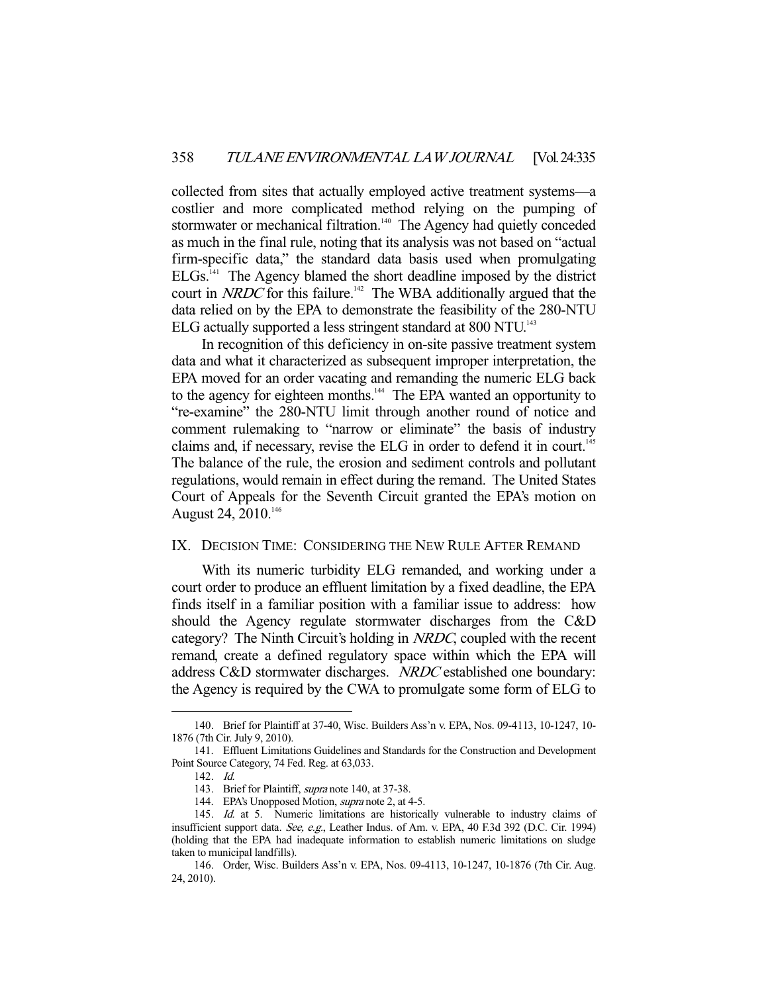collected from sites that actually employed active treatment systems—a costlier and more complicated method relying on the pumping of stormwater or mechanical filtration.<sup>140</sup> The Agency had quietly conceded as much in the final rule, noting that its analysis was not based on "actual firm-specific data," the standard data basis used when promulgating ELGs.141 The Agency blamed the short deadline imposed by the district court in NRDC for this failure.<sup>142</sup> The WBA additionally argued that the data relied on by the EPA to demonstrate the feasibility of the 280-NTU ELG actually supported a less stringent standard at 800 NTU.<sup>143</sup>

 In recognition of this deficiency in on-site passive treatment system data and what it characterized as subsequent improper interpretation, the EPA moved for an order vacating and remanding the numeric ELG back to the agency for eighteen months.<sup>144</sup> The EPA wanted an opportunity to "re-examine" the 280-NTU limit through another round of notice and comment rulemaking to "narrow or eliminate" the basis of industry claims and, if necessary, revise the ELG in order to defend it in court.<sup>145</sup> The balance of the rule, the erosion and sediment controls and pollutant regulations, would remain in effect during the remand. The United States Court of Appeals for the Seventh Circuit granted the EPA's motion on August 24,  $2010^{146}$ 

## IX. DECISION TIME: CONSIDERING THE NEW RULE AFTER REMAND

 With its numeric turbidity ELG remanded, and working under a court order to produce an effluent limitation by a fixed deadline, the EPA finds itself in a familiar position with a familiar issue to address: how should the Agency regulate stormwater discharges from the C&D category? The Ninth Circuit's holding in NRDC, coupled with the recent remand, create a defined regulatory space within which the EPA will address C&D stormwater discharges. NRDC established one boundary: the Agency is required by the CWA to promulgate some form of ELG to

 <sup>140.</sup> Brief for Plaintiff at 37-40, Wisc. Builders Ass'n v. EPA, Nos. 09-4113, 10-1247, 10- 1876 (7th Cir. July 9, 2010).

 <sup>141.</sup> Effluent Limitations Guidelines and Standards for the Construction and Development Point Source Category, 74 Fed. Reg. at 63,033.

 <sup>142.</sup> Id.

<sup>143.</sup> Brief for Plaintiff, *supra* note 140, at 37-38.

<sup>144.</sup> EPA's Unopposed Motion, supra note 2, at 4-5.

<sup>145.</sup> Id. at 5. Numeric limitations are historically vulnerable to industry claims of insufficient support data. See, e.g., Leather Indus. of Am. v. EPA, 40 F.3d 392 (D.C. Cir. 1994) (holding that the EPA had inadequate information to establish numeric limitations on sludge taken to municipal landfills).

 <sup>146.</sup> Order, Wisc. Builders Ass'n v. EPA, Nos. 09-4113, 10-1247, 10-1876 (7th Cir. Aug. 24, 2010).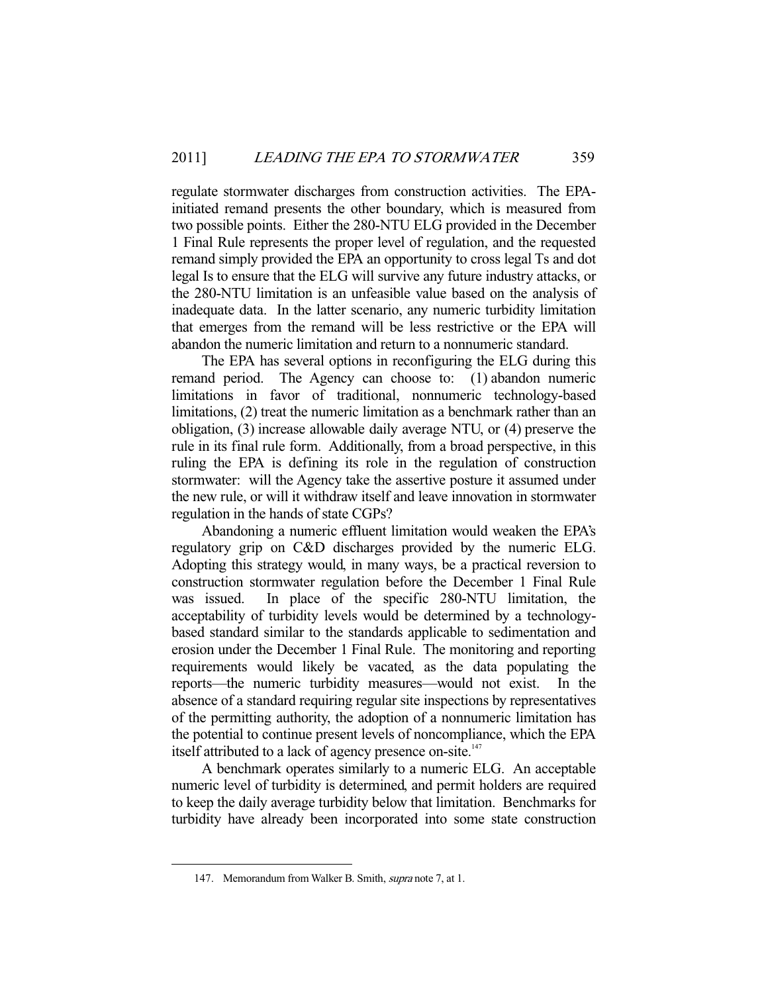regulate stormwater discharges from construction activities. The EPAinitiated remand presents the other boundary, which is measured from two possible points. Either the 280-NTU ELG provided in the December 1 Final Rule represents the proper level of regulation, and the requested remand simply provided the EPA an opportunity to cross legal Ts and dot legal Is to ensure that the ELG will survive any future industry attacks, or the 280-NTU limitation is an unfeasible value based on the analysis of inadequate data. In the latter scenario, any numeric turbidity limitation that emerges from the remand will be less restrictive or the EPA will abandon the numeric limitation and return to a nonnumeric standard.

 The EPA has several options in reconfiguring the ELG during this remand period. The Agency can choose to: (1) abandon numeric limitations in favor of traditional, nonnumeric technology-based limitations, (2) treat the numeric limitation as a benchmark rather than an obligation, (3) increase allowable daily average NTU, or (4) preserve the rule in its final rule form. Additionally, from a broad perspective, in this ruling the EPA is defining its role in the regulation of construction stormwater: will the Agency take the assertive posture it assumed under the new rule, or will it withdraw itself and leave innovation in stormwater regulation in the hands of state CGPs?

 Abandoning a numeric effluent limitation would weaken the EPA's regulatory grip on C&D discharges provided by the numeric ELG. Adopting this strategy would, in many ways, be a practical reversion to construction stormwater regulation before the December 1 Final Rule was issued. In place of the specific 280-NTU limitation, the acceptability of turbidity levels would be determined by a technologybased standard similar to the standards applicable to sedimentation and erosion under the December 1 Final Rule. The monitoring and reporting requirements would likely be vacated, as the data populating the reports—the numeric turbidity measures—would not exist. In the absence of a standard requiring regular site inspections by representatives of the permitting authority, the adoption of a nonnumeric limitation has the potential to continue present levels of noncompliance, which the EPA itself attributed to a lack of agency presence on-site.<sup>147</sup>

 A benchmark operates similarly to a numeric ELG. An acceptable numeric level of turbidity is determined, and permit holders are required to keep the daily average turbidity below that limitation. Benchmarks for turbidity have already been incorporated into some state construction

 <sup>147.</sup> Memorandum from Walker B. Smith, supra note 7, at 1.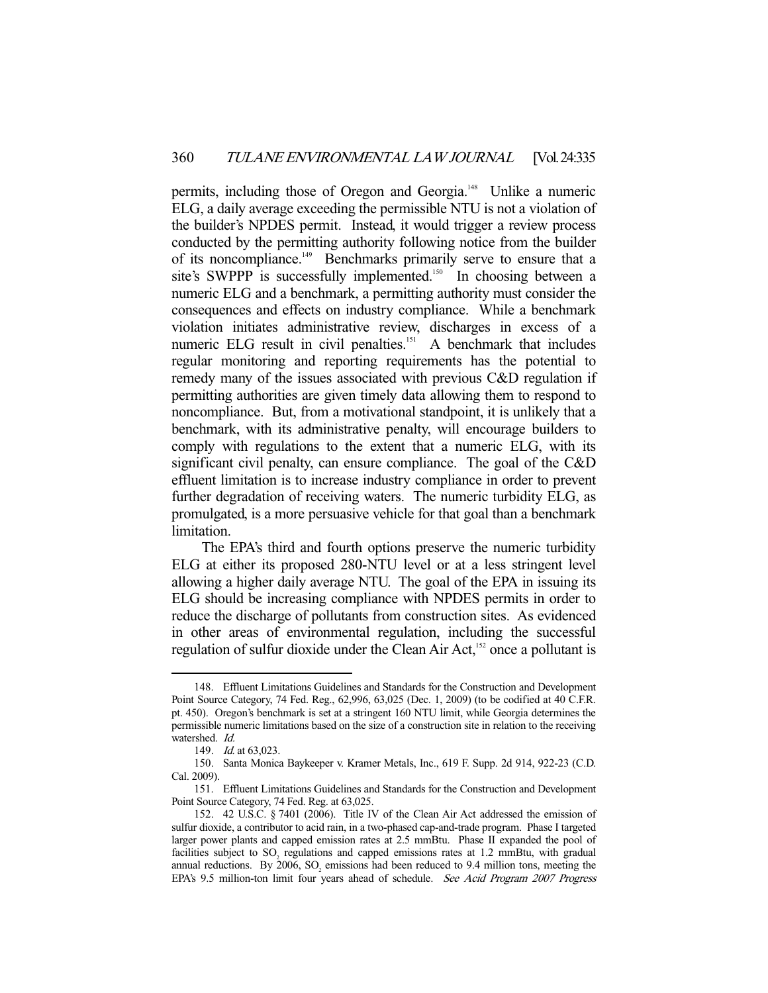permits, including those of Oregon and Georgia.<sup>148</sup> Unlike a numeric ELG, a daily average exceeding the permissible NTU is not a violation of the builder's NPDES permit. Instead, it would trigger a review process conducted by the permitting authority following notice from the builder of its noncompliance.<sup>149</sup> Benchmarks primarily serve to ensure that a site's SWPPP is successfully implemented.<sup>150</sup> In choosing between a numeric ELG and a benchmark, a permitting authority must consider the consequences and effects on industry compliance. While a benchmark violation initiates administrative review, discharges in excess of a numeric ELG result in civil penalties.<sup>151</sup> A benchmark that includes regular monitoring and reporting requirements has the potential to remedy many of the issues associated with previous C&D regulation if permitting authorities are given timely data allowing them to respond to noncompliance. But, from a motivational standpoint, it is unlikely that a benchmark, with its administrative penalty, will encourage builders to comply with regulations to the extent that a numeric ELG, with its significant civil penalty, can ensure compliance. The goal of the C&D effluent limitation is to increase industry compliance in order to prevent further degradation of receiving waters. The numeric turbidity ELG, as promulgated, is a more persuasive vehicle for that goal than a benchmark limitation.

 The EPA's third and fourth options preserve the numeric turbidity ELG at either its proposed 280-NTU level or at a less stringent level allowing a higher daily average NTU. The goal of the EPA in issuing its ELG should be increasing compliance with NPDES permits in order to reduce the discharge of pollutants from construction sites. As evidenced in other areas of environmental regulation, including the successful regulation of sulfur dioxide under the Clean Air Act,<sup>152</sup> once a pollutant is

 <sup>148.</sup> Effluent Limitations Guidelines and Standards for the Construction and Development Point Source Category, 74 Fed. Reg., 62,996, 63,025 (Dec. 1, 2009) (to be codified at 40 C.F.R. pt. 450). Oregon's benchmark is set at a stringent 160 NTU limit, while Georgia determines the permissible numeric limitations based on the size of a construction site in relation to the receiving watershed. Id.

 <sup>149.</sup> Id. at 63,023.

 <sup>150.</sup> Santa Monica Baykeeper v. Kramer Metals, Inc., 619 F. Supp. 2d 914, 922-23 (C.D. Cal. 2009).

 <sup>151.</sup> Effluent Limitations Guidelines and Standards for the Construction and Development Point Source Category, 74 Fed. Reg. at 63,025.

 <sup>152. 42</sup> U.S.C. § 7401 (2006). Title IV of the Clean Air Act addressed the emission of sulfur dioxide, a contributor to acid rain, in a two-phased cap-and-trade program. Phase I targeted larger power plants and capped emission rates at 2.5 mmBtu. Phase II expanded the pool of facilities subject to  $SO_2$  regulations and capped emissions rates at 1.2 mmBtu, with gradual annual reductions. By 2006,  $SO_2$  emissions had been reduced to 9.4 million tons, meeting the EPA's 9.5 million-ton limit four years ahead of schedule. See Acid Program 2007 Progress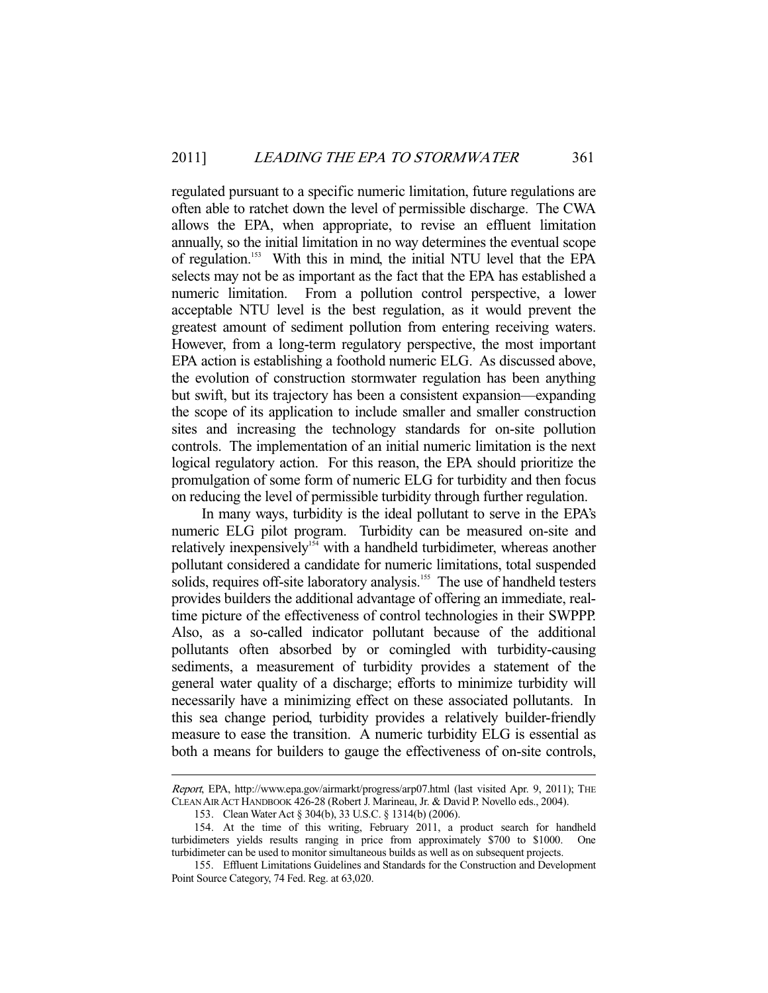regulated pursuant to a specific numeric limitation, future regulations are often able to ratchet down the level of permissible discharge. The CWA allows the EPA, when appropriate, to revise an effluent limitation annually, so the initial limitation in no way determines the eventual scope of regulation.153 With this in mind, the initial NTU level that the EPA selects may not be as important as the fact that the EPA has established a numeric limitation. From a pollution control perspective, a lower acceptable NTU level is the best regulation, as it would prevent the greatest amount of sediment pollution from entering receiving waters. However, from a long-term regulatory perspective, the most important EPA action is establishing a foothold numeric ELG. As discussed above, the evolution of construction stormwater regulation has been anything but swift, but its trajectory has been a consistent expansion—expanding the scope of its application to include smaller and smaller construction sites and increasing the technology standards for on-site pollution controls. The implementation of an initial numeric limitation is the next logical regulatory action. For this reason, the EPA should prioritize the promulgation of some form of numeric ELG for turbidity and then focus on reducing the level of permissible turbidity through further regulation.

 In many ways, turbidity is the ideal pollutant to serve in the EPA's numeric ELG pilot program. Turbidity can be measured on-site and relatively inexpensively<sup>154</sup> with a handheld turbidimeter, whereas another pollutant considered a candidate for numeric limitations, total suspended solids, requires off-site laboratory analysis.<sup>155</sup> The use of handheld testers provides builders the additional advantage of offering an immediate, realtime picture of the effectiveness of control technologies in their SWPPP. Also, as a so-called indicator pollutant because of the additional pollutants often absorbed by or comingled with turbidity-causing sediments, a measurement of turbidity provides a statement of the general water quality of a discharge; efforts to minimize turbidity will necessarily have a minimizing effect on these associated pollutants. In this sea change period, turbidity provides a relatively builder-friendly measure to ease the transition. A numeric turbidity ELG is essential as both a means for builders to gauge the effectiveness of on-site controls,

Report, EPA, http://www.epa.gov/airmarkt/progress/arp07.html (last visited Apr. 9, 2011); THE CLEAN AIR ACT HANDBOOK 426-28 (Robert J. Marineau, Jr. & David P. Novello eds., 2004).

 <sup>153.</sup> Clean Water Act § 304(b), 33 U.S.C. § 1314(b) (2006).

 <sup>154.</sup> At the time of this writing, February 2011, a product search for handheld turbidimeters yields results ranging in price from approximately \$700 to \$1000. One turbidimeter can be used to monitor simultaneous builds as well as on subsequent projects.

 <sup>155.</sup> Effluent Limitations Guidelines and Standards for the Construction and Development Point Source Category, 74 Fed. Reg. at 63,020.